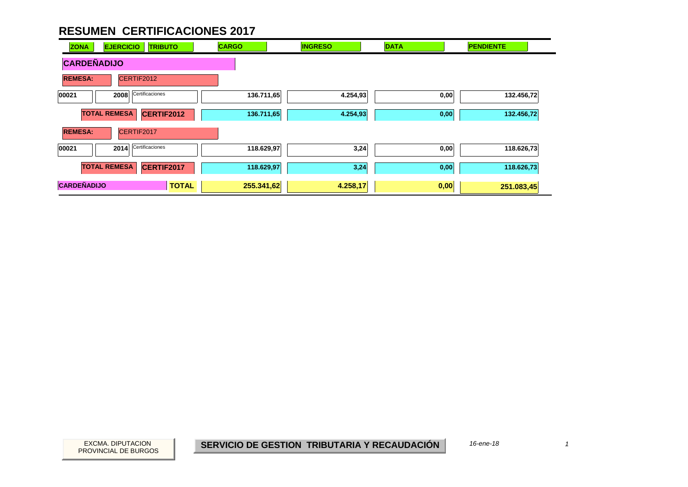| <b>ZONA</b>        | <b>EJERCICIO</b><br><b>TRIBUTO</b> | <b>CARGO</b> | <b>INGRESO</b> | <b>DATA</b> | <b>PENDIENTE</b> |
|--------------------|------------------------------------|--------------|----------------|-------------|------------------|
| <b>CARDEÑADIJO</b> |                                    |              |                |             |                  |
| <b>REMESA:</b>     | CERTIF2012                         |              |                |             |                  |
| 00021              | Certificaciones<br>2008            | 136.711,65   | 4.254,93       | 0,00        | 132.456,72       |
|                    | <b>TOTAL REMESA</b><br>CERTIF2012  | 136.711,65   | 4.254,93       | 0,00        | 132.456,72       |
| <b>REMESA:</b>     | CERTIF2017                         |              |                |             |                  |
| 00021              | Certificaciones<br>2014            | 118.629,97   | 3,24           | 0,00        | 118.626,73       |
|                    | <b>TOTAL REMESA</b><br>CERTIF2017  | 118.629,97   | 3,24           | 0,00        | 118.626,73       |
| <b>CARDEÑADIJO</b> | <b>TOTAL</b>                       | 255.341,62   | 4.258,17       | 0,00        | 251.083,45       |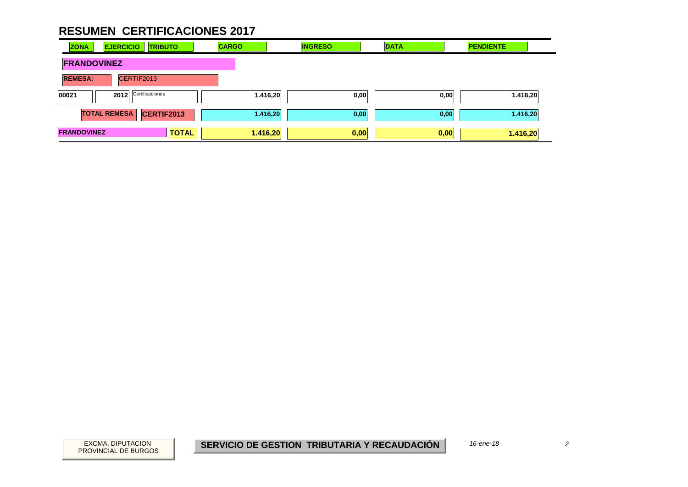| <b>ZONA</b>                      | <b>EJERCICIO</b><br><b>TRIBUTO</b>       | <b>CARGO</b> | <b>INGRESO</b> | <b>DATA</b> | <b>PENDIENTE</b> |
|----------------------------------|------------------------------------------|--------------|----------------|-------------|------------------|
| <b>FRANDOVINEZ</b>               |                                          |              |                |             |                  |
| <b>REMESA:</b>                   | CERTIF2013                               |              |                |             |                  |
| Certificaciones<br>00021<br>2012 |                                          | 1.416,20     | 0,00           | 0,00        | 1.416,20         |
|                                  | <b>TOTAL REMESA</b><br><b>CERTIF2013</b> | 1.416,20     | 0,00           | 0,00        | 1.416,20         |
| <b>FRANDOVINEZ</b>               | <b>TOTAL</b>                             | 1.416,20     | 0,00           | 0,00        | 1.416,20         |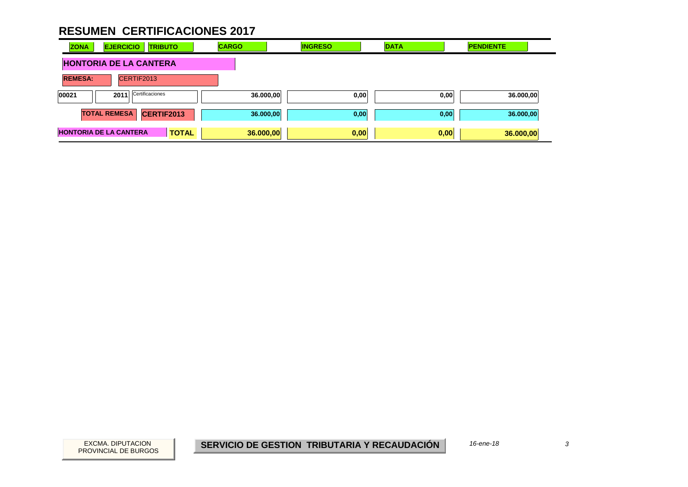| <b>ZONA</b>                   | <b>EJERCICIO</b>              | <b>TRIBUTO</b> | <b>CARGO</b> | <b>INGRESO</b> | <b>DATA</b> |      | <b>PENDIENTE</b> |  |
|-------------------------------|-------------------------------|----------------|--------------|----------------|-------------|------|------------------|--|
| <b>HONTORIA DE LA CANTERA</b> |                               |                |              |                |             |      |                  |  |
| <b>REMESA:</b>                | CERTIF2013                    |                |              |                |             |      |                  |  |
| 00021                         | Certificaciones<br>2011       |                | 36.000,00    |                | 0,00        | 0,00 | 36.000,00        |  |
|                               | <b>TOTAL REMESA</b>           | CERTIF2013     | 36.000,00    |                | 0,00        | 0,00 | 36.000,00        |  |
|                               | <b>HONTORIA DE LA CANTERA</b> | <b>TOTAL</b>   | 36.000,00    |                | 0,00        | 0,00 | 36.000,00        |  |

 $\overline{3}$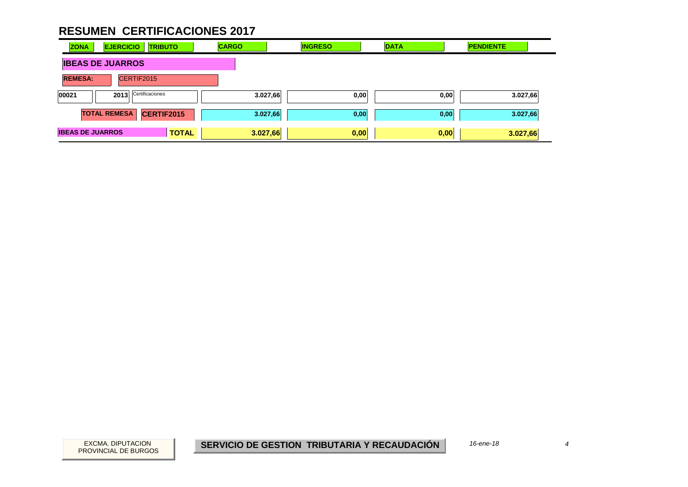| <b>ZONA</b>             | <b>EJERCICIO</b>        | <b>TRIBUTO</b> | <b>CARGO</b> | <b>INGRESO</b>   | <b>DATA</b> | <b>PENDIENTE</b> |
|-------------------------|-------------------------|----------------|--------------|------------------|-------------|------------------|
| <b>IBEAS DE JUARROS</b> |                         |                |              |                  |             |                  |
| <b>REMESA:</b>          | CERTIF2015              |                |              |                  |             |                  |
| 00021                   | Certificaciones<br>2013 |                |              | 3.027,66<br>0,00 | 0,00        | 3.027,66         |
|                         | <b>TOTAL REMESA</b>     | CERTIF2015     |              | 3.027,66<br>0,00 | 0,00        | 3.027,66         |
| <b>IBEAS DE JUARROS</b> |                         | <b>TOTAL</b>   | 3.027,66     | 0,00             | 0,00        | 3.027,66         |

 $\overline{4}$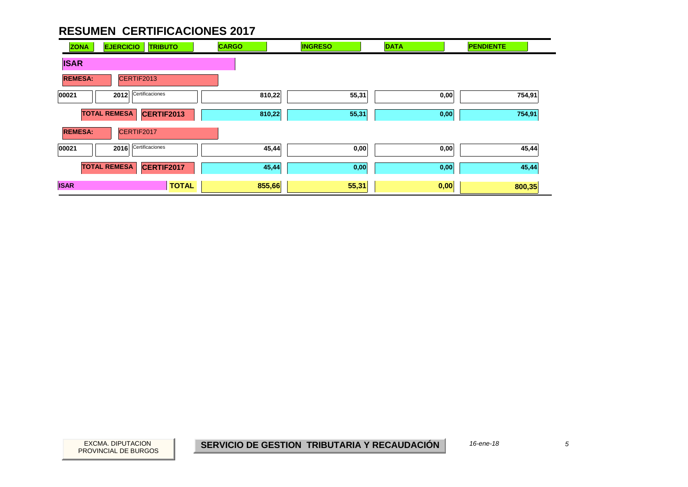| <b>ZONA</b>    | <b>EJERCICIO</b><br><b>TRIBUTO</b> | <b>CARGO</b> | <b>INGRESO</b> | <b>DATA</b> | <b>PENDIENTE</b> |
|----------------|------------------------------------|--------------|----------------|-------------|------------------|
| <b>ISAR</b>    |                                    |              |                |             |                  |
| <b>REMESA:</b> | CERTIF2013                         |              |                |             |                  |
| 00021          | Certificaciones<br>2012            | 810,22       | 55,31          | 0,00        | 754,91           |
|                | <b>TOTAL REMESA</b><br>CERTIF2013  | 810,22       | 55,31          | 0,00        | 754,91           |
| <b>REMESA:</b> | CERTIF2017                         |              |                |             |                  |
| 00021          | Certificaciones<br>2016            | 45,44        | 0,00           | 0,00        | 45,44            |
|                | <b>TOTAL REMESA</b><br>CERTIF2017  | 45,44        | 0,00           | 0,00        | 45,44            |
| <b>ISAR</b>    | <b>TOTAL</b>                       | 855,66       | 55,31          | 0,00        | 800,35           |

PROVINCIAL DE BURGOS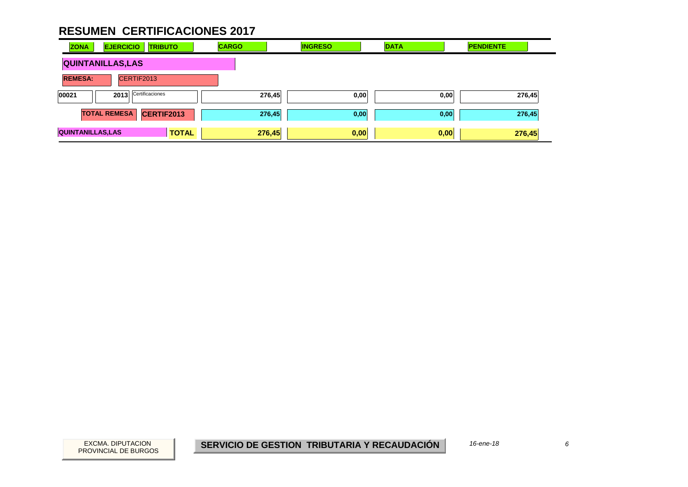| <b>ZONA</b>              | <b>EJERCICIO</b>        | <b>TRIBUTO</b> | <b>CARGO</b> |        | <b>INGRESO</b> |      | <b>DATA</b> |      | <b>PENDIENTE</b> |        |
|--------------------------|-------------------------|----------------|--------------|--------|----------------|------|-------------|------|------------------|--------|
| <b>QUINTANILLAS, LAS</b> |                         |                |              |        |                |      |             |      |                  |        |
| <b>REMESA:</b>           |                         | CERTIF2013     |              |        |                |      |             |      |                  |        |
| 00021                    | Certificaciones<br>2013 |                |              | 276,45 |                | 0,00 |             | 0,00 |                  | 276,45 |
|                          | <b>TOTAL REMESA</b>     | CERTIF2013     |              | 276,45 |                | 0,00 |             | 0,00 | 276,45           |        |
| <b>QUINTANILLAS, LAS</b> |                         | <b>TOTAL</b>   |              | 276,45 | 0,00           |      |             | 0,00 | 276,45           |        |

 $6\overline{6}$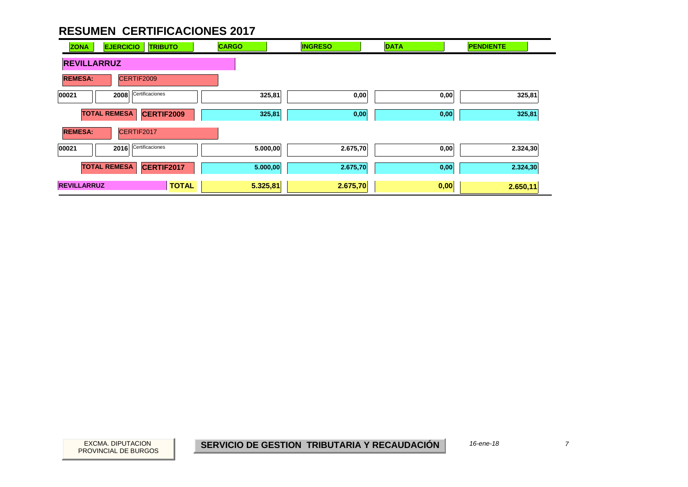| <b>ZONA</b>        | <b>EJERCICIO</b><br><b>TRIBUTO</b>       | <b>CARGO</b> | <b>INGRESO</b> | <b>DATA</b> | <b>PENDIENTE</b> |
|--------------------|------------------------------------------|--------------|----------------|-------------|------------------|
| <b>REVILLARRUZ</b> |                                          |              |                |             |                  |
| <b>REMESA:</b>     | CERTIF2009                               |              |                |             |                  |
| 00021              | Certificaciones<br>2008                  | 325,81       | 0,00           | 0,00        | 325,81           |
|                    | <b>TOTAL REMESA</b><br><b>CERTIF2009</b> | 325,81       | 0,00           | 0,00        | 325,81           |
| <b>REMESA:</b>     | CERTIF2017                               |              |                |             |                  |
| 00021              | Certificaciones<br>2016                  | 5.000,00     | 2.675,70       | 0,00        | 2.324,30         |
|                    | <b>TOTAL REMESA</b><br>CERTIF2017        | 5.000,00     | 2.675,70       | 0,00        | 2.324,30         |
| <b>REVILLARRUZ</b> | <b>TOTAL</b>                             | 5.325,81     | 2.675,70       | 0,00        | 2.650,11         |

PROVINCIAL DE BURGOS

 $\overline{7}$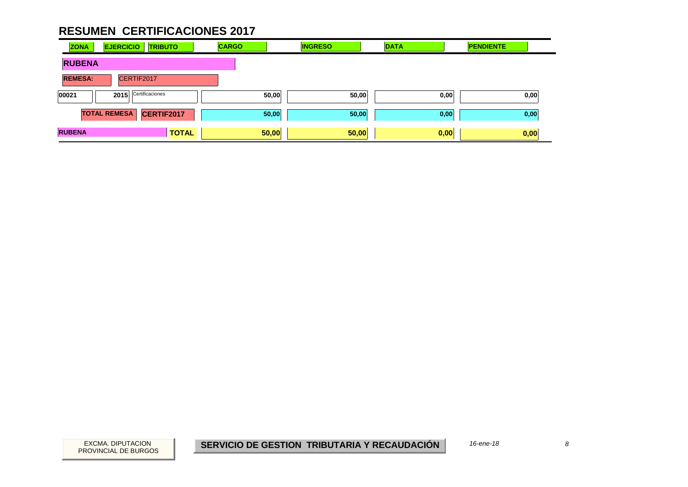| <b>ZONA</b>    | <b>EJERCICIO</b><br><b>TRIBUTO</b> | <b>CARGO</b> | <b>INGRESO</b> | <b>DATA</b> | <b>PENDIENTE</b> |
|----------------|------------------------------------|--------------|----------------|-------------|------------------|
| <b>RUBENA</b>  |                                    |              |                |             |                  |
| <b>REMESA:</b> | CERTIF2017                         |              |                |             |                  |
| 00021          | Certificaciones<br>2015            | 50,00        | 50,00          | 0,00        | 0,00             |
|                | <b>TOTAL REMESA</b><br>CERTIF2017  | 50,00        | 50,00          | 0,00        | 0,00             |
| <b>RUBENA</b>  | <b>TOTAL</b>                       | 50,00        | 50,00          | 0,00        | 0,00             |

 $\boldsymbol{\delta}$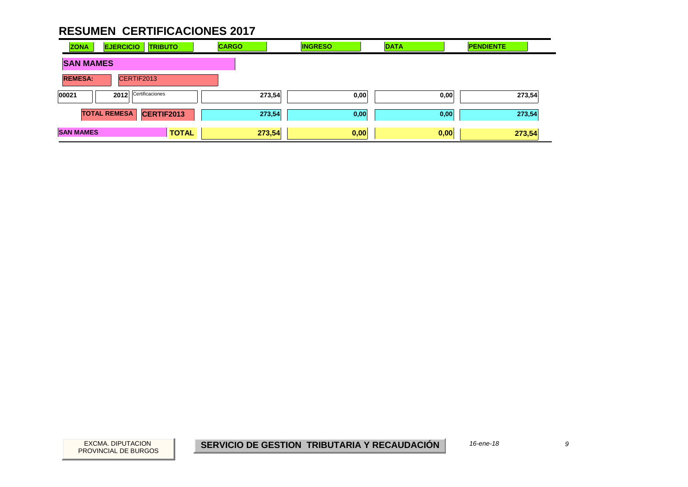| <b>ZONA</b>      | <b>EJERCICIO</b>        | <b>TRIBUTO</b> | <b>CARGO</b> | <b>INGRESO</b> | <b>DATA</b> | <b>PENDIENTE</b> |
|------------------|-------------------------|----------------|--------------|----------------|-------------|------------------|
| <b>SAN MAMES</b> |                         |                |              |                |             |                  |
| <b>REMESA:</b>   |                         | CERTIF2013     |              |                |             |                  |
| 00021            | Certificaciones<br>2012 |                |              | 273,54<br>0,00 | 0,00        | 273,54           |
|                  | <b>TOTAL REMESA</b>     | CERTIF2013     |              | 273,54<br>0,00 | 0,00        | 273,54           |
| <b>SAN MAMES</b> |                         | <b>TOTAL</b>   |              | 273,54<br>0,00 | 0,00        | 273,54           |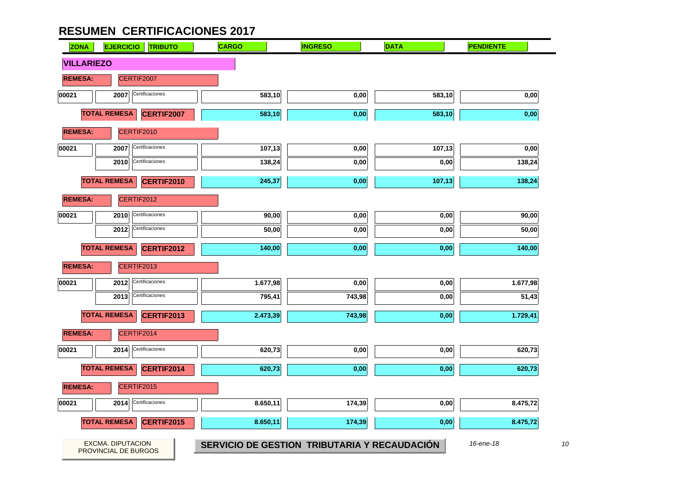| <b>ZONA</b>       | <b>EJERCICIO</b><br><b>TRIBUTO</b>        | <b>CARGO</b> | <b>INGRESO</b>                               | <b>DATA</b> | <b>PENDIENTE</b> |
|-------------------|-------------------------------------------|--------------|----------------------------------------------|-------------|------------------|
| <b>VILLARIEZO</b> |                                           |              |                                              |             |                  |
| <b>REMESA:</b>    | CERTIF2007                                |              |                                              |             |                  |
| 00021             | Certificaciones<br>2007                   | 583,10       | 0,00                                         | 583,10      | 0,00             |
|                   | <b>TOTAL REMESA</b><br>CERTIF2007         | 583,10       | 0,00                                         | 583,10      | 0,00             |
| <b>REMESA:</b>    | CERTIF2010                                |              |                                              |             |                  |
| 00021             | Certificaciones<br>2007                   | 107,13       | 0,00                                         | 107,13      | 0,00             |
|                   | Certificaciones<br>2010                   | 138,24       | 0,00                                         | 0,00        | 138,24           |
|                   | <b>TOTAL REMESA</b><br><b>CERTIF2010</b>  | 245,37       | 0,00                                         | 107,13      | 138,24           |
| <b>REMESA:</b>    | CERTIF2012                                |              |                                              |             |                  |
| 00021             | Certificaciones<br>2010                   | 90,00        | 0,00                                         | 0,00        | 90,00            |
|                   | Certificaciones<br>2012                   | 50,00        | 0,00                                         | 0,00        | 50,00            |
|                   | <b>TOTAL REMESA</b><br><b>CERTIF2012</b>  | 140,00       | 0,00                                         | 0,00        | 140,00           |
| <b>REMESA:</b>    | CERTIF2013                                |              |                                              |             |                  |
| 00021             | Certificaciones<br>2012                   | 1.677,98     | 0,00                                         | 0,00        | 1.677,98         |
|                   | Certificaciones<br>2013                   | 795,41       | 743,98                                       | 0,00        | 51,43            |
|                   | <b>TOTAL REMESA</b><br><b>CERTIF2013</b>  | 2.473,39     | 743,98                                       | 0,00        | 1.729,41         |
| <b>REMESA:</b>    | CERTIF2014                                |              |                                              |             |                  |
| 00021             | Certificaciones<br>2014                   | 620,73       | 0,00                                         | 0,00        | 620,73           |
|                   | <b>TOTAL REMESA</b><br>CERTIF2014         | 620,73       | 0,00                                         | 0,00        | 620,73           |
| <b>REMESA:</b>    | CERTIF2015                                |              |                                              |             |                  |
| 00021             | Certificaciones<br>2014                   | 8.650,11     | 174,39                                       | 0,00        | 8.475,72         |
|                   | <b>TOTAL REMESA</b><br>CERTIF2015         | 8.650,11     | 174,39                                       | 0,00        | 8.475,72         |
|                   |                                           |              |                                              |             |                  |
|                   | EXCMA. DIPUTACION<br>PROVINCIAL DE BURGOS |              | SERVICIO DE GESTION TRIBUTARIA Y RECAUDACIÓN |             | 16-ene-18        |

 $10$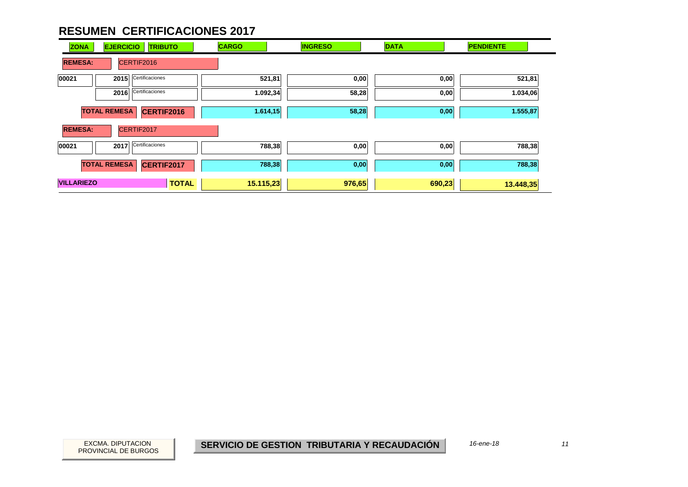| <b>ZONA</b>                  | <b>TRIBUTO</b><br><b>EJERCICIO</b> |                 | <b>CARGO</b> | <b>INGRESO</b> | <b>DATA</b> | <b>PENDIENTE</b> |
|------------------------------|------------------------------------|-----------------|--------------|----------------|-------------|------------------|
| CERTIF2016<br><b>REMESA:</b> |                                    |                 |              |                |             |                  |
| 00021                        | 2015                               | Certificaciones | 521,81       | 0,00           | 0,00        | 521,81           |
|                              | 2016                               | Certificaciones | 1.092,34     | 58,28          | 0,00        | 1.034,06         |
|                              | <b>TOTAL REMESA</b>                | CERTIF2016      | 1.614,15     | 58,28          | 0,00        | 1.555,87         |
| <b>REMESA:</b>               |                                    | CERTIF2017      |              |                |             |                  |
| 00021                        | 2017                               | Certificaciones | 788,38       | 0,00           | 0,00        | 788,38           |
|                              | <b>TOTAL REMESA</b>                | CERTIF2017      | 788,38       | 0,00           | 0,00        | 788,38           |
| <b>VILLARIEZO</b>            |                                    | <b>TOTAL</b>    | 15.115,23    | 976,65         | 690,23      | 13.448,35        |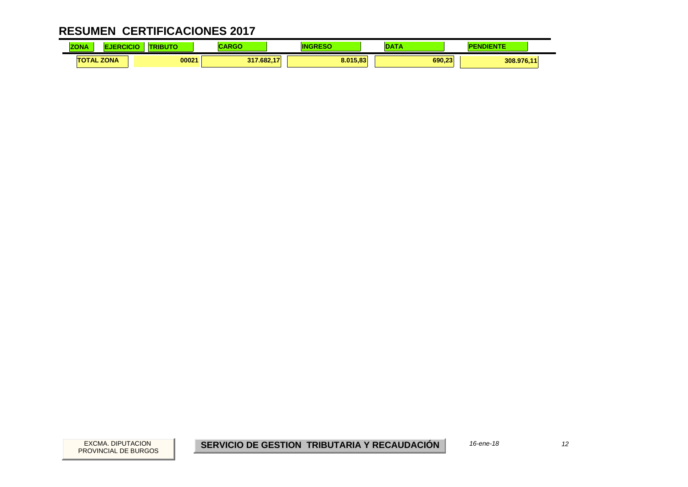| <b>ZONA</b> | ICI               | ---<br>50 | <b>DOM:</b><br>אט או |          |        | IENTE      |  |
|-------------|-------------------|-----------|----------------------|----------|--------|------------|--|
|             | <b>TOTAL ZONA</b> | 00021     | 317.682.17           | 8.015.83 | 690.23 | 308.976,11 |  |

 $12$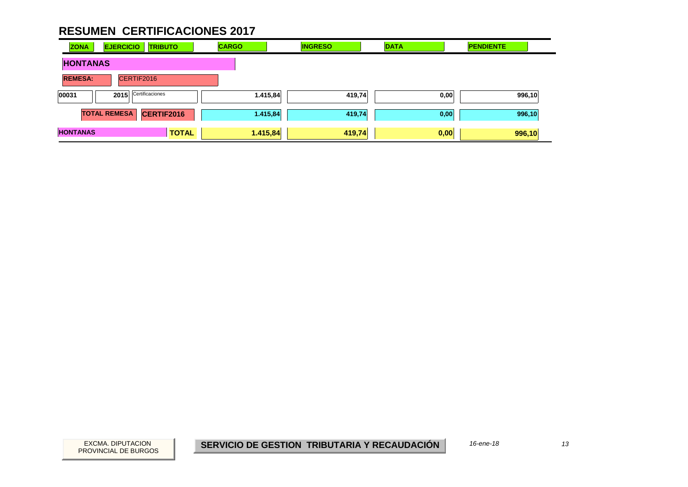| <b>ZONA</b>     | <b>EJERCICIO</b>    | <b>TRIBUTO</b>  |              | <b>CARGO</b> | <b>INGRESO</b> |        | <b>DATA</b> | <b>PENDIENTE</b> |  |
|-----------------|---------------------|-----------------|--------------|--------------|----------------|--------|-------------|------------------|--|
| <b>HONTANAS</b> |                     |                 |              |              |                |        |             |                  |  |
| <b>REMESA:</b>  |                     | CERTIF2016      |              |              |                |        |             |                  |  |
| 00031           | 2015                | Certificaciones |              |              | 1.415,84       | 419,74 | 0,00        | 996,10           |  |
|                 | <b>TOTAL REMESA</b> | CERTIF2016      |              |              | 1.415,84       | 419,74 | 0,00        | 996,10           |  |
| <b>HONTANAS</b> |                     |                 | <b>TOTAL</b> |              | 1.415,84       | 419,74 | 0,00        | 996,10           |  |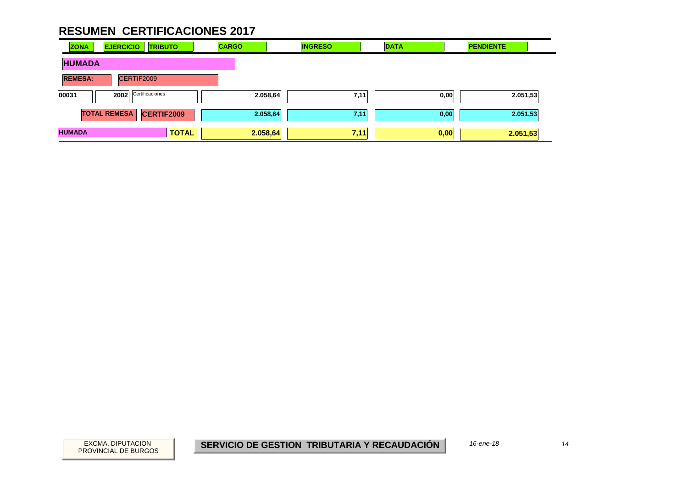| <b>ZONA</b>    | <b>EJERCICIO</b>    | <b>TRIBUTO</b>  | <b>CARGO</b> | <b>INGRESO</b>   | <b>DATA</b> | <b>PENDIENTE</b> |
|----------------|---------------------|-----------------|--------------|------------------|-------------|------------------|
| <b>HUMADA</b>  |                     |                 |              |                  |             |                  |
| <b>REMESA:</b> |                     | CERTIF2009      |              |                  |             |                  |
| 00031          | 2002                | Certificaciones |              | 2.058,64<br>7,11 | 0,00        | 2.051,53         |
|                | <b>TOTAL REMESA</b> | CERTIF2009      |              | 2.058,64<br>7,11 | 0,00        | 2.051,53         |
| <b>HUMADA</b>  |                     | <b>TOTAL</b>    |              | 7,11<br>2.058,64 | 0,00        | 2.051,53         |

 $14$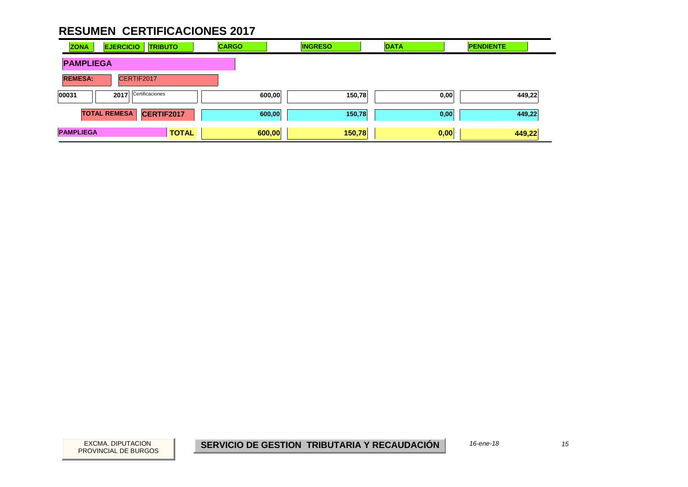| <b>ZONA</b>                  | <b>EJERCICIO</b><br><b>TRIBUTO</b>       |              | <b>CARGO</b> | <b>INGRESO</b> | <b>DATA</b> | <b>PENDIENTE</b> |
|------------------------------|------------------------------------------|--------------|--------------|----------------|-------------|------------------|
| <b>PAMPLIEGA</b>             |                                          |              |              |                |             |                  |
| <b>REMESA:</b><br>CERTIF2017 |                                          |              |              |                |             |                  |
| 00031                        | Certificaciones<br>2017                  |              | 600,00       | 150,78         | 0,00        | 449,22           |
|                              | <b>TOTAL REMESA</b><br><b>CERTIF2017</b> |              | 600,00       | 150,78         | 0,00        | 449,22           |
| <b>PAMPLIEGA</b>             |                                          | <b>TOTAL</b> | 600,00       | 150,78         | 0,00        | 449,22           |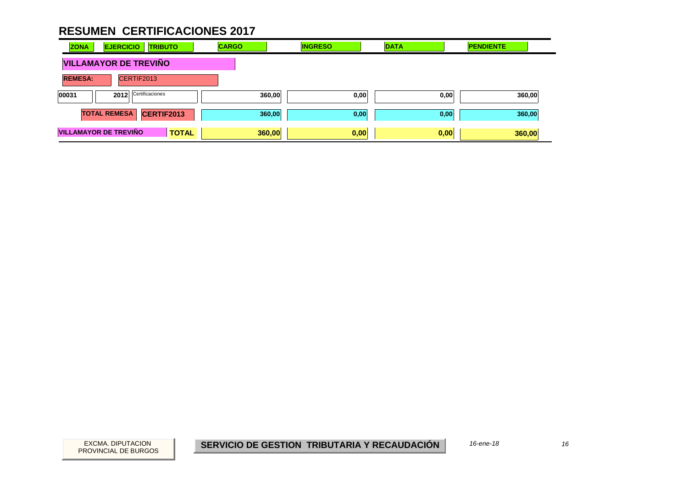| <b>ZONA</b>    | <b>EJERCICIO</b><br><b>TRIBUTO</b>           | <b>CARGO</b> | <b>INGRESO</b> | <b>DATA</b> | <b>PENDIENTE</b> |
|----------------|----------------------------------------------|--------------|----------------|-------------|------------------|
|                | <b>VILLAMAYOR DE TREVIÑO</b>                 |              |                |             |                  |
| <b>REMESA:</b> | CERTIF2013                                   |              |                |             |                  |
| 00031          | Certificaciones<br>2012                      |              | 360,00<br>0,00 | 0,00        | 360,00           |
|                | <b>TOTAL REMESA</b><br>CERTIF2013            |              | 360,00<br>0,00 | 0,00        | 360,00           |
|                | <b>VILLAMAYOR DE TREVIÑO</b><br><b>TOTAL</b> |              | 0,00<br>360,00 | 0,00        | 360,00           |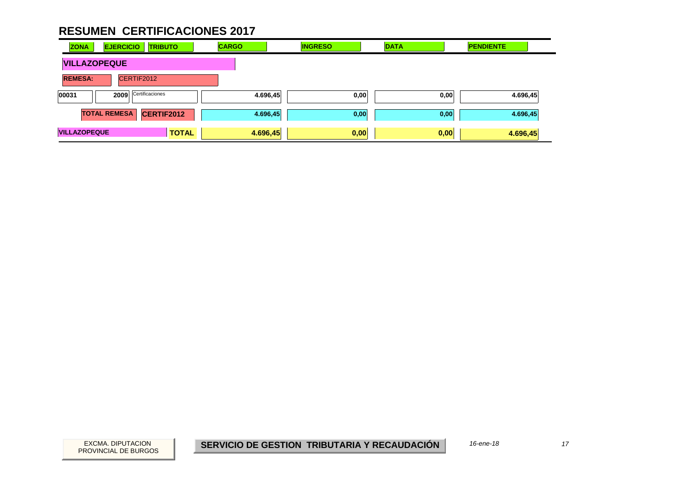| <b>ZONA</b>                  | <b>EJERCICIO</b><br><b>TRIBUTO</b> |                   | <b>CARGO</b> |          | <b>INGRESO</b> |      | <b>DATA</b> |      | <b>PENDIENTE</b> |          |  |
|------------------------------|------------------------------------|-------------------|--------------|----------|----------------|------|-------------|------|------------------|----------|--|
| <b>VILLAZOPEQUE</b>          |                                    |                   |              |          |                |      |             |      |                  |          |  |
| CERTIF2012<br><b>REMESA:</b> |                                    |                   |              |          |                |      |             |      |                  |          |  |
| 00031                        | Certificaciones<br>2009            |                   |              | 4.696,45 |                | 0,00 |             | 0,00 | 4.696,45         |          |  |
|                              | <b>TOTAL REMESA</b>                | <b>CERTIF2012</b> |              |          | 4.696,45       | 0,00 |             |      | 0,00             | 4.696,45 |  |
| <b>VILLAZOPEQUE</b>          |                                    |                   | <b>TOTAL</b> | 4.696,45 |                | 0,00 |             |      | 0,00             | 4.696,45 |  |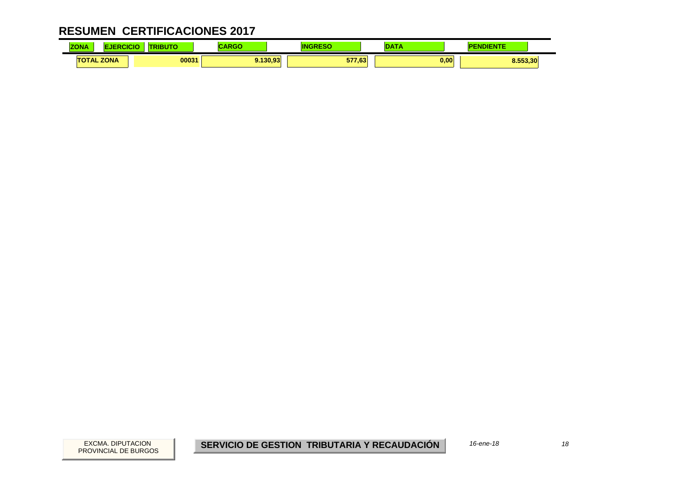| <b>ZONA</b> |                   | .     | 17.77<br>ישמא | TN     | ---  | .<br>ENTE<br>. . |
|-------------|-------------------|-------|---------------|--------|------|------------------|
|             | <b>TOTAL ZONA</b> | 00031 | .130.93       | 577.63 | 0.00 | 8.553,30         |

18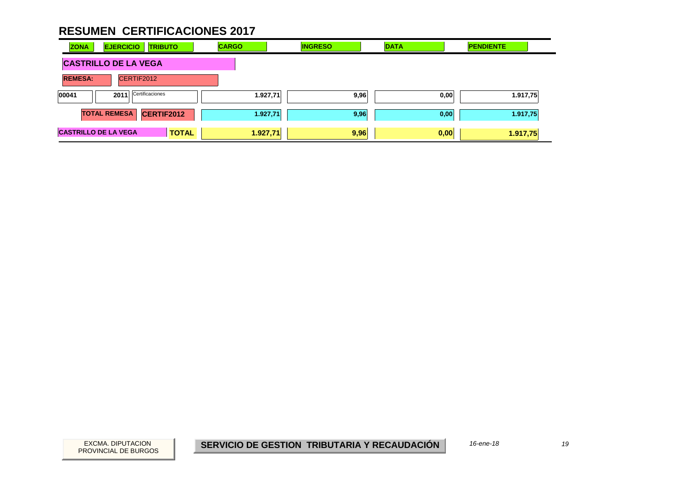| <b>ZONA</b>                 | <b>EJERCICIO</b><br><b>TRIBUTO</b>       | <b>CARGO</b> | <b>INGRESO</b> | <b>DATA</b>  | <b>PENDIENTE</b> |
|-----------------------------|------------------------------------------|--------------|----------------|--------------|------------------|
|                             | <b>CASTRILLO DE LA VEGA</b>              |              |                |              |                  |
| <b>REMESA:</b>              | CERTIF2012                               |              |                |              |                  |
| 00041                       | Certificaciones<br>2011                  |              | 1.927,71       | 9,96<br>0,00 | 1.917,75         |
|                             | <b>TOTAL REMESA</b><br><b>CERTIF2012</b> |              | 1.927,71       | 9,96<br>0,00 | 1.917,75         |
| <b>CASTRILLO DE LA VEGA</b> |                                          | <b>TOTAL</b> | 1.927,71       | 9,96<br>0,00 | 1.917,75         |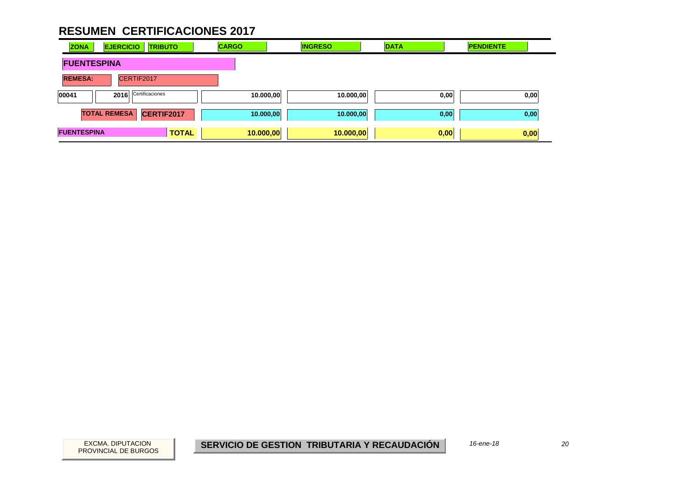| <b>ZONA</b>        | <b>EJERCICIO</b><br><b>TRIBUTO</b>       | <b>CARGO</b> | <b>INGRESO</b>         | <b>DATA</b> | <b>PENDIENTE</b> |
|--------------------|------------------------------------------|--------------|------------------------|-------------|------------------|
| <b>FUENTESPINA</b> |                                          |              |                        |             |                  |
| <b>REMESA:</b>     | CERTIF2017                               |              |                        |             |                  |
| 00041              | 2016 Certificaciones                     |              | 10.000,00<br>10.000,00 | 0,00        | 0,00             |
|                    | <b>TOTAL REMESA</b><br><b>CERTIF2017</b> |              | 10.000,00<br>10.000,00 | 0,00        | 0,00             |
| <b>FUENTESPINA</b> |                                          | <b>TOTAL</b> | 10.000,00<br>10.000,00 | 0,00        | 0,00             |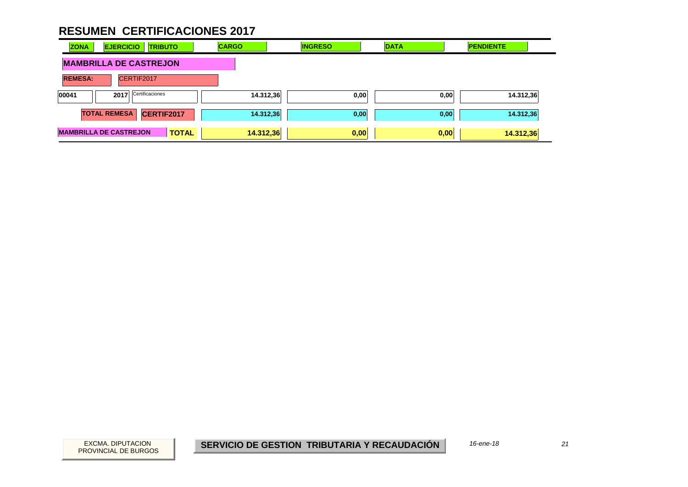| <b>EJERCICIO</b><br><b>ZONA</b> | <b>TRIBUTO</b>  | <b>CARGO</b> | <b>INGRESO</b> | <b>DATA</b> | <b>PENDIENTE</b> |
|---------------------------------|-----------------|--------------|----------------|-------------|------------------|
| <b>MAMBRILLA DE CASTREJON</b>   |                 |              |                |             |                  |
| <b>REMESA:</b>                  | CERTIF2017      |              |                |             |                  |
| 00041<br>2017                   | Certificaciones | 14.312,36    | 0,00           | 0,00        | 14.312,36        |
| <b>TOTAL REMESA</b>             | CERTIF2017      | 14.312,36    | 0,00           | 0,00        | 14.312,36        |
| <b>MAMBRILLA DE CASTREJON</b>   | <b>TOTAL</b>    | 14.312,36    | 0,00           | 0,00        | 14.312,36        |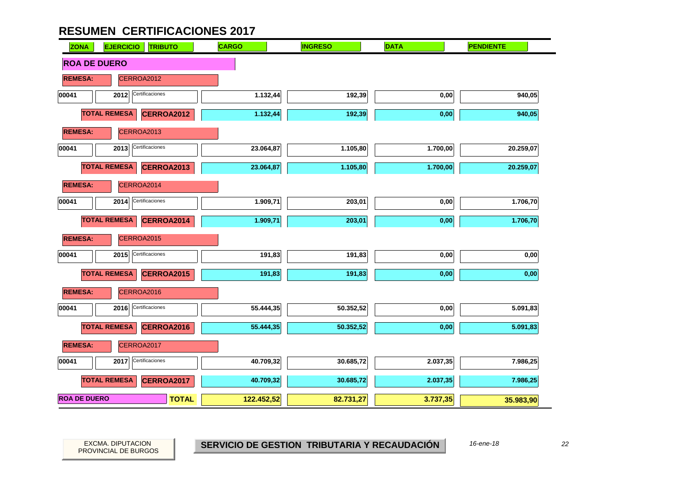| <b>EJERCICIO</b><br><b>ZONA</b> | <b>TRIBUTO</b>  | <b>CARGO</b> | <b>INGRESO</b> | <b>DATA</b> | <b>PENDIENTE</b> |
|---------------------------------|-----------------|--------------|----------------|-------------|------------------|
| <b>ROA DE DUERO</b>             |                 |              |                |             |                  |
| <b>REMESA:</b>                  | CERROA2012      |              |                |             |                  |
| 00041<br>2012                   | Certificaciones | 1.132,44     | 192,39         | 0,00        | 940,05           |
| <b>TOTAL REMESA</b>             | CERROA2012      | 1.132,44     | 192,39         | 0,00        | 940,05           |
| <b>REMESA:</b>                  | CERROA2013      |              |                |             |                  |
| 00041<br>2013                   | Certificaciones | 23.064,87    | 1.105,80       | 1.700,00    | 20.259,07        |
| <b>TOTAL REMESA</b>             | CERROA2013      | 23.064,87    | 1.105,80       | 1.700,00    | 20.259,07        |
| <b>REMESA:</b>                  | CERROA2014      |              |                |             |                  |
| 00041<br>2014                   | Certificaciones | 1.909,71     | 203,01         | 0,00        | 1.706,70         |
| <b>TOTAL REMESA</b>             | CERROA2014      | 1.909,71     | 203,01         | 0,00        | 1.706,70         |
| <b>REMESA:</b>                  | CERROA2015      |              |                |             |                  |
| 2015<br>00041                   | Certificaciones | 191,83       | 191,83         | 0,00        | 0,00             |
| <b>TOTAL REMESA</b>             | CERROA2015      | 191,83       | 191,83         | 0,00        | 0,00             |
| <b>REMESA:</b>                  | CERROA2016      |              |                |             |                  |
| 00041<br>2016                   | Certificaciones | 55.444,35    | 50.352,52      | 0,00        | 5.091,83         |
| <b>TOTAL REMESA</b>             | CERROA2016      | 55.444,35    | 50.352,52      | 0,00        | 5.091,83         |
| <b>REMESA:</b>                  | CERROA2017      |              |                |             |                  |
| 00041<br>2017                   | Certificaciones | 40.709,32    | 30.685,72      | 2.037,35    | 7.986,25         |
| <b>TOTAL REMESA</b>             | CERROA2017      | 40.709,32    | 30.685,72      | 2.037,35    | 7.986,25         |
| <b>ROA DE DUERO</b>             | <b>TOTAL</b>    | 122.452,52   | 82.731,27      | 3.737,35    | 35.983,90        |

PROVINCIAL DE BURGOS

EXCMA. DIPUTACION *22* **SERVICIO DE GESTION TRIBUTARIA Y RECAUDACIÓN** *16-ene-18*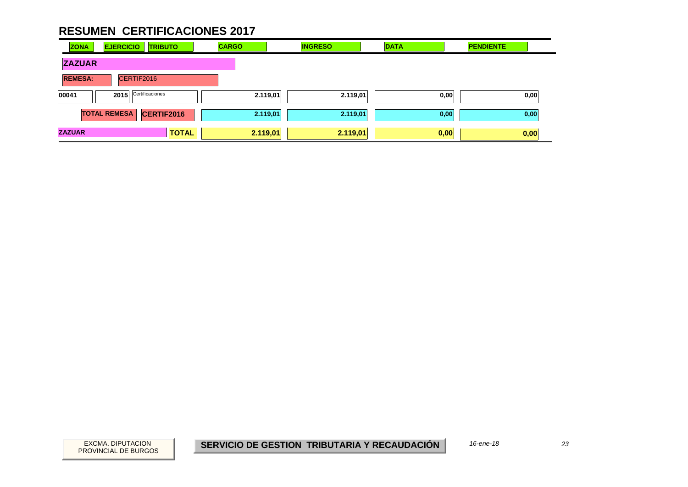| <b>ZONA</b>    | <b>EJERCICIO</b>    | <b>TRIBUTO</b>  |              | <b>CARGO</b> |          | <b>INGRESO</b> | <b>DATA</b> | <b>PENDIENTE</b> |      |
|----------------|---------------------|-----------------|--------------|--------------|----------|----------------|-------------|------------------|------|
| <b>ZAZUAR</b>  |                     |                 |              |              |          |                |             |                  |      |
| <b>REMESA:</b> |                     | CERTIF2016      |              |              |          |                |             |                  |      |
| 00041          | 2015                | Certificaciones |              |              | 2.119,01 | 2.119,01       | 0,00        |                  | 0,00 |
|                | <b>TOTAL REMESA</b> | CERTIF2016      |              |              | 2.119,01 | 2.119,01       | 0,00        |                  | 0,00 |
| <b>ZAZUAR</b>  |                     |                 | <b>TOTAL</b> |              | 2.119,01 | 2.119,01       | 0,00        |                  | 0,00 |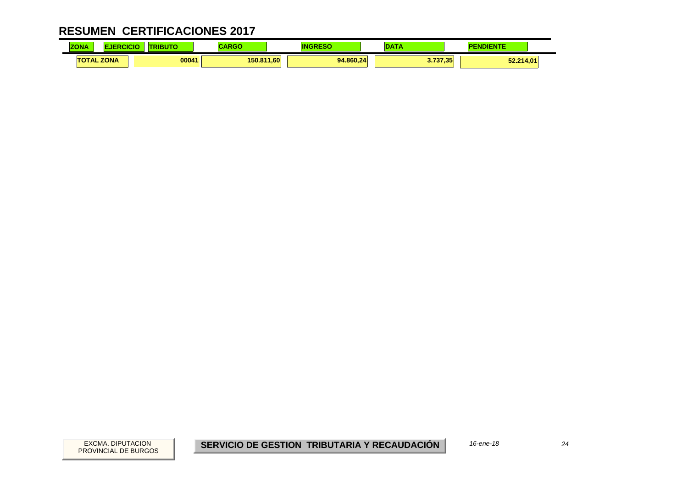| ZONA |                 | <b>ABUT</b> | ADAC<br>אטא | 4N        | $\sim$              | ENTE<br>ле<br>ır |
|------|-----------------|-------------|-------------|-----------|---------------------|------------------|
|      | <b>TAL ZONA</b> | 00041       | 150.811,60  | 94.860.24 | 3.737.35<br>.J. 131 | 52.214,01        |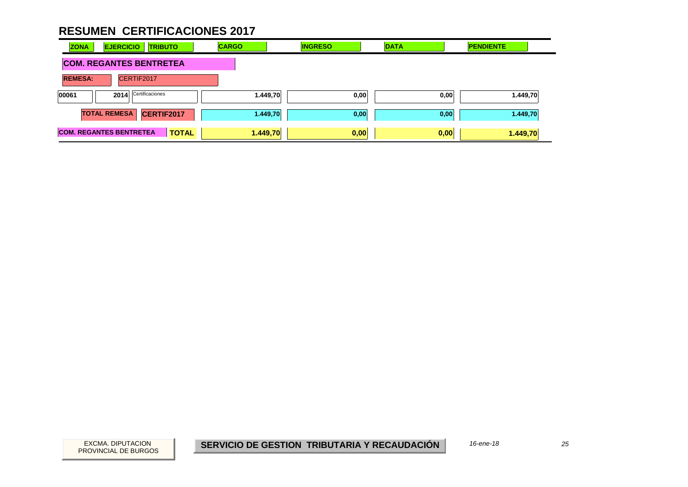| <b>EJERCICIO</b><br><b>TRIBUTO</b><br><b>ZONA</b> | <b>CARGO</b> | <b>INGRESO</b> | <b>DATA</b> | <b>PENDIENTE</b> |
|---------------------------------------------------|--------------|----------------|-------------|------------------|
| <b>COM. REGANTES BENTRETEA</b>                    |              |                |             |                  |
| <b>REMESA:</b><br>CERTIF2017                      |              |                |             |                  |
| Certificaciones<br>00061<br>2014                  | 1.449,70     | 0,00           | 0,00        | 1.449,70         |
| <b>TOTAL REMESA</b><br><b>CERTIF2017</b>          | 1.449,70     | 0,00           | 0,00        | 1.449,70         |
| <b>COM. REGANTES BENTRETEA</b><br><b>TOTAL</b>    | 1.449,70     | 0,00           | 0,00        | 1.449,70         |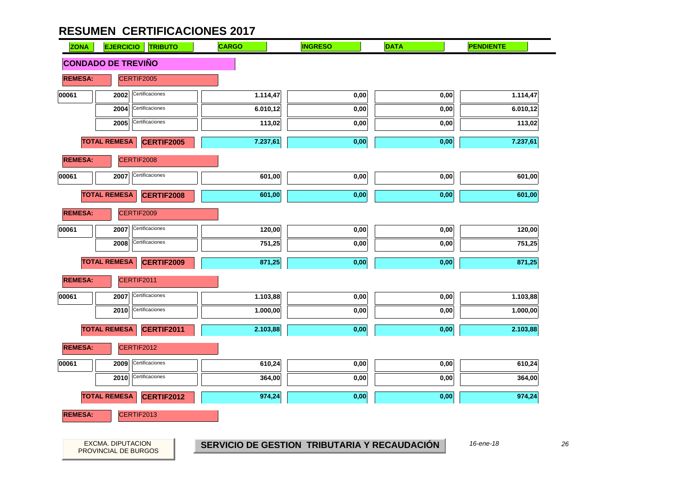

26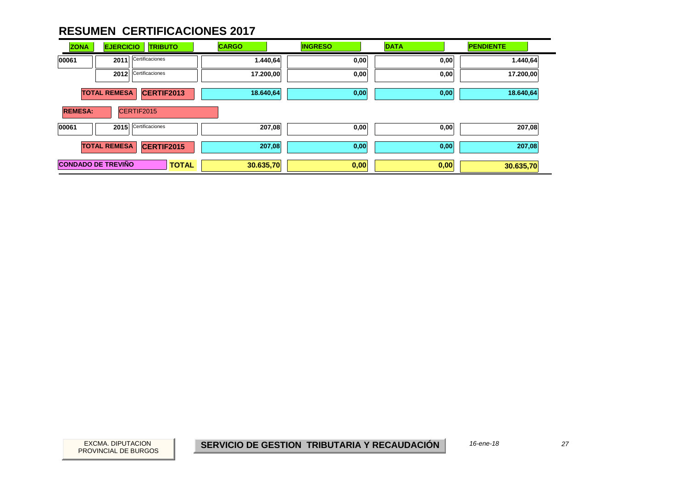| <b>ZONA</b>    | <b>EJERCICIO</b><br><b>TRIBUTO</b>        | <b>CARGO</b> | <b>INGRESO</b> | <b>DATA</b> | <b>PENDIENTE</b> |
|----------------|-------------------------------------------|--------------|----------------|-------------|------------------|
| 00061          | Certificaciones<br>2011                   | 1.440,64     | 0,00           | 0,00        | 1.440,64         |
|                | Certificaciones<br>2012                   | 17.200,00    | 0,00           | 0,00        | 17.200,00        |
|                | <b>TOTAL REMESA</b><br>CERTIF2013         | 18.640,64    | 0,00           | 0,00        | 18.640,64        |
| <b>REMESA:</b> | CERTIF2015                                |              |                |             |                  |
| 00061          | Certificaciones<br>2015                   | 207,08       | 0,00           | 0,00        | 207,08           |
|                | <b>TOTAL REMESA</b><br>CERTIF2015         | 207,08       | 0,00           | 0,00        | 207,08           |
|                | <b>CONDADO DE TREVIÑO</b><br><b>TOTAL</b> | 30.635,70    | 0,00           | 0,00        | 30.635,70        |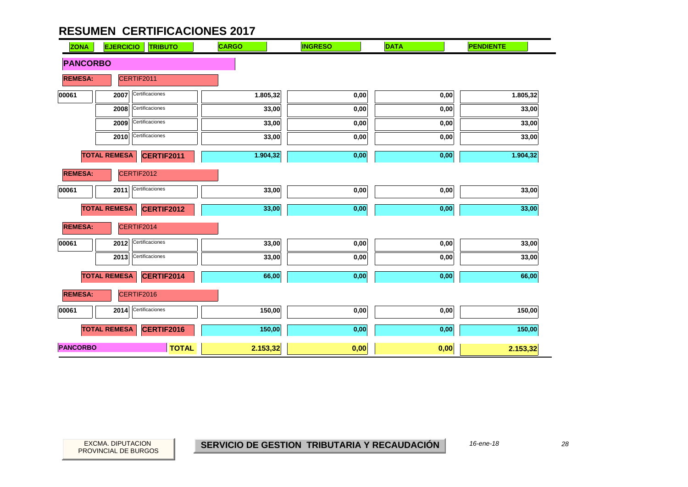| <b>ZONA</b>     | <b>EJERCICIO</b><br><b>TRIBUTO</b>       | <b>CARGO</b> | <b>INGRESO</b> | <b>DATA</b> | <b>PENDIENTE</b> |
|-----------------|------------------------------------------|--------------|----------------|-------------|------------------|
| <b>PANCORBO</b> |                                          |              |                |             |                  |
| <b>REMESA:</b>  | CERTIF2011                               |              |                |             |                  |
| 00061           | Certificaciones<br>2007                  | 1.805,32     | 0,00           | 0,00        | 1.805,32         |
|                 | Certificaciones<br>2008                  | 33,00        | 0,00           | 0,00        | 33,00            |
|                 | Certificaciones<br>2009                  | 33,00        | 0,00           | 0,00        | 33,00            |
|                 | Certificaciones<br>2010                  | 33,00        | 0,00           | 0,00        | 33,00            |
|                 | <b>TOTAL REMESA</b><br>CERTIF2011        | 1.904,32     | 0,00           | 0,00        | 1.904,32         |
| <b>REMESA:</b>  | CERTIF2012                               |              |                |             |                  |
| 00061           | Certificaciones<br>2011                  | 33,00        | 0,00           | 0,00        | 33,00            |
|                 | <b>TOTAL REMESA</b><br><b>CERTIF2012</b> | 33,00        | 0,00           | 0,00        | 33,00            |
| <b>REMESA:</b>  | CERTIF2014                               |              |                |             |                  |
| 00061           | Certificaciones<br>2012                  | 33,00        | 0,00           | 0,00        | 33,00            |
|                 | Certificaciones<br>2013                  | 33,00        | 0,00           | 0,00        | 33,00            |
|                 | <b>TOTAL REMESA</b><br><b>CERTIF2014</b> | 66,00        | 0,00           | 0,00        | 66,00            |
| <b>REMESA:</b>  | CERTIF2016                               |              |                |             |                  |
| 00061           | Certificaciones<br>2014                  | 150,00       | 0,00           | 0,00        | 150,00           |
|                 | <b>TOTAL REMESA</b><br>CERTIF2016        | 150,00       | 0,00           | 0,00        | 150,00           |
| <b>PANCORBO</b> | <b>TOTAL</b>                             | 2.153,32     | 0,00           | 0,00        | 2.153,32         |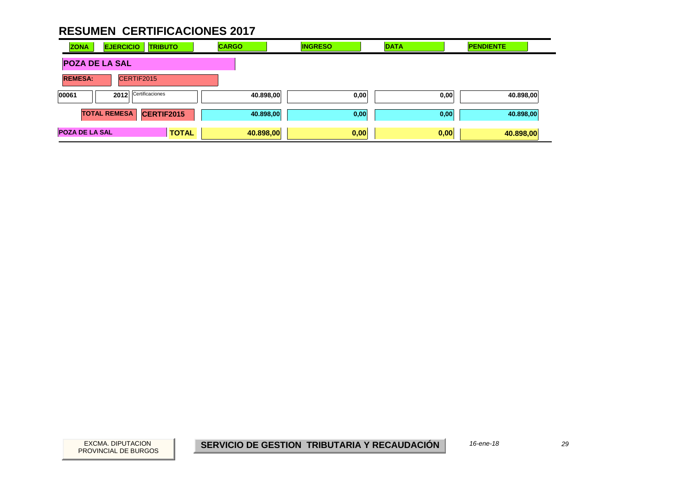| <b>ZONA</b>           | <b>EJERCICIO</b>    | <b>TRIBUTO</b>       |              | <b>CARGO</b> |           | <b>INGRESO</b> |      | <b>DATA</b> |      | <b>PENDIENTE</b> |  |
|-----------------------|---------------------|----------------------|--------------|--------------|-----------|----------------|------|-------------|------|------------------|--|
| <b>POZA DE LA SAL</b> |                     |                      |              |              |           |                |      |             |      |                  |  |
| <b>REMESA:</b>        | CERTIF2015          |                      |              |              |           |                |      |             |      |                  |  |
| 00061                 |                     | 2012 Certificaciones |              |              | 40.898,00 |                | 0,00 |             | 0,00 | 40.898,00        |  |
|                       | <b>TOTAL REMESA</b> | CERTIF2015           |              |              | 40.898,00 |                | 0,00 |             | 0,00 | 40.898,00        |  |
| <b>POZA DE LA SAL</b> |                     |                      | <b>TOTAL</b> |              | 40.898,00 |                | 0,00 | 0,00        |      | 40.898,00        |  |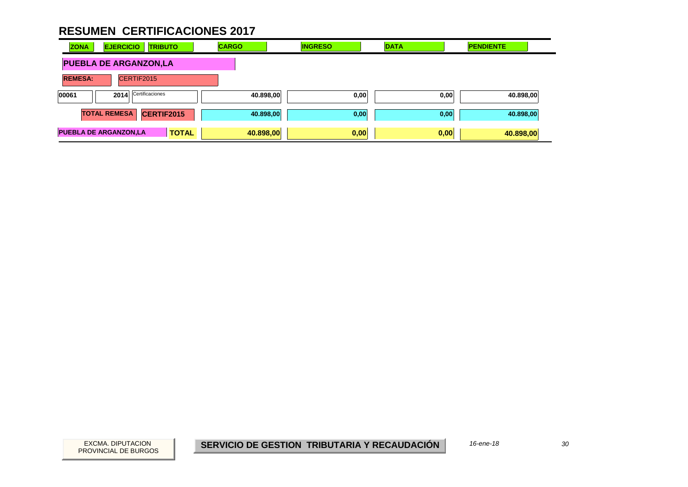| <b>EJERCICIO</b><br><b>ZONA</b><br><b>TRIBUTO</b> | <b>CARGO</b> | <b>INGRESO</b> | <b>DATA</b> | <b>PENDIENTE</b> |
|---------------------------------------------------|--------------|----------------|-------------|------------------|
| <b>PUEBLA DE ARGANZON,LA</b>                      |              |                |             |                  |
| <b>REMESA:</b><br>CERTIF2015                      |              |                |             |                  |
| 2014 Certificaciones<br>00061                     | 40.898,00    | 0,00           | 0,00        | 40.898,00        |
| <b>TOTAL REMESA</b><br>CERTIF2015                 | 40.898,00    | 0,00           | 0,00        | 40.898,00        |
| <b>PUEBLA DE ARGANZON,LA</b><br><b>TOTAL</b>      | 40.898,00    | 0,00           | 0,00        | 40.898,00        |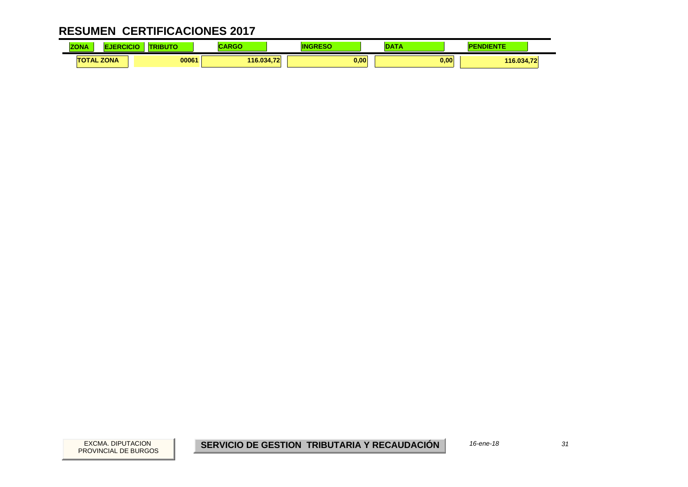| ZONA              | <b>LESS LINES</b><br>(IBU I | ADAC<br>राज |      |      | <b>NDIENTE</b> |
|-------------------|-----------------------------|-------------|------|------|----------------|
| <b>TOTAL ZONA</b> | 00061                       | 116.034,72  | 0,00 | 0,00 | 116.034,72     |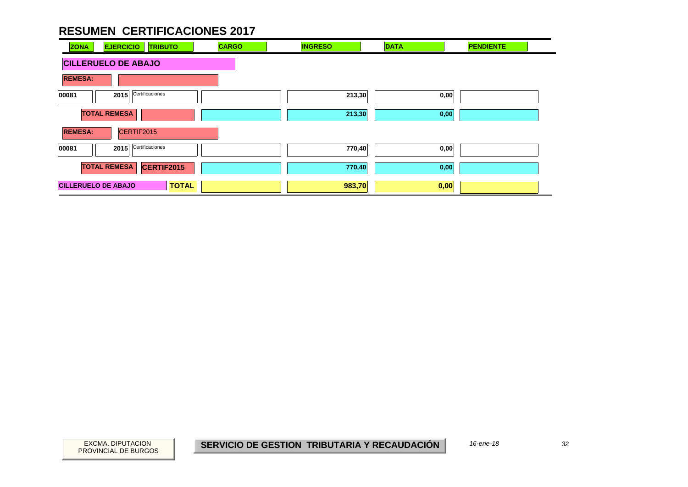| <b>ZONA</b>                | <b>EJERCICIO</b><br><b>TRIBUTO</b> | <b>CARGO</b> | <b>INGRESO</b> | <b>DATA</b> | <b>PENDIENTE</b> |
|----------------------------|------------------------------------|--------------|----------------|-------------|------------------|
|                            | <b>CILLERUELO DE ABAJO</b>         |              |                |             |                  |
| <b>REMESA:</b>             |                                    |              |                |             |                  |
| 00081                      | Certificaciones<br>2015            |              | 213,30         | 0,00        |                  |
|                            | <b>TOTAL REMESA</b>                |              | 213,30         | 0,00        |                  |
| <b>REMESA:</b>             | CERTIF2015                         |              |                |             |                  |
| 00081                      | Certificaciones<br>2015            |              | 770,40         | 0,00        |                  |
|                            | <b>TOTAL REMESA</b><br>CERTIF2015  |              | 770,40         | 0,00        |                  |
| <b>CILLERUELO DE ABAJO</b> | <b>TOTAL</b>                       |              | 983,70         | 0,00        |                  |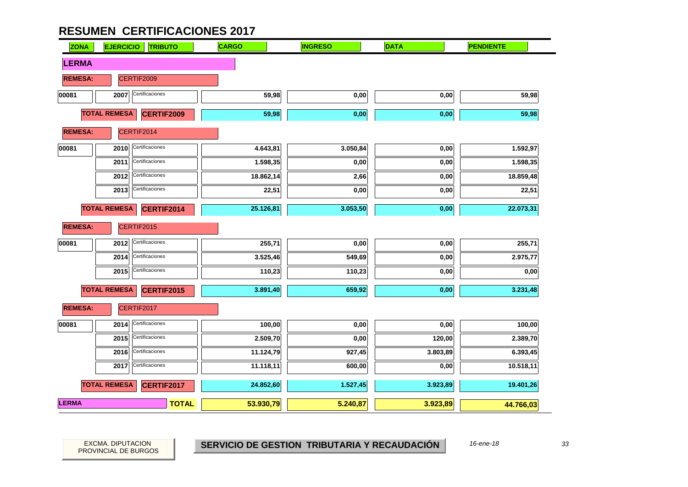| <b>ZONA</b>    | <b>EJERCICIO</b><br><b>TRIBUTO</b> | <b>CARGO</b> | <b>INGRESO</b> | <b>DATA</b> | <b>PENDIENTE</b> |
|----------------|------------------------------------|--------------|----------------|-------------|------------------|
| <b>LERMA</b>   |                                    |              |                |             |                  |
| <b>REMESA:</b> | CERTIF2009                         |              |                |             |                  |
| 00081          | Certificaciones<br>2007            | 59,98        | 0,00           | 0,00        | 59,98            |
|                | <b>TOTAL REMESA</b><br>CERTIF2009  | 59,98        | 0,00           | 0,00        | 59,98            |
| <b>REMESA:</b> | CERTIF2014                         |              |                |             |                  |
| 00081          | Certificaciones<br>2010            | 4.643,81     | 3.050,84       | 0,00        | 1.592,97         |
|                | Certificaciones<br>2011            | 1.598,35     | 0,00           | 0,00        | 1.598,35         |
|                | Certificaciones<br>2012            | 18.862,14    | 2,66           | 0,00        | 18.859,48        |
|                | Certificaciones<br>2013            | 22,51        | 0,00           | 0,00        | 22,51            |
|                | <b>TOTAL REMESA</b><br>CERTIF2014  | 25.126,81    | 3.053,50       | 0,00        | 22.073,31        |
| <b>REMESA:</b> | CERTIF2015                         |              |                |             |                  |
| 00081          | Certificaciones<br>2012            | 255,71       | 0,00           | 0,00        | 255,71           |
|                | Certificaciones<br>2014            | 3.525,46     | 549,69         | 0,00        | 2.975,77         |
|                | Certificaciones<br>2015            | 110,23       | 110,23         | 0,00        | 0,00             |
|                | <b>TOTAL REMESA</b><br>CERTIF2015  | 3.891,40     | 659,92         | 0,00        | 3.231,48         |
| <b>REMESA:</b> | CERTIF2017                         |              |                |             |                  |
| 00081          | Certificaciones<br>2014            | 100,00       | $0,\!00$       | 0,00        | 100,00           |
|                | Certificaciones<br>2015            | 2.509,70     | 0,00           | 120,00      | 2.389,70         |
|                | Certificaciones<br>2016            | 11.124,79    | 927,45         | 3.803,89    | 6.393,45         |
|                | Certificaciones<br>2017            | 11.118,11    | 600,00         | 0,00        | 10.518,11        |
|                | <b>TOTAL REMESA</b><br>CERTIF2017  | 24.852,60    | 1.527,45       | 3.923,89    | 19.401,26        |
| <b>LERMA</b>   | <b>TOTAL</b>                       | 53.930,79    | 5.240,87       | 3.923,89    | 44.766,03        |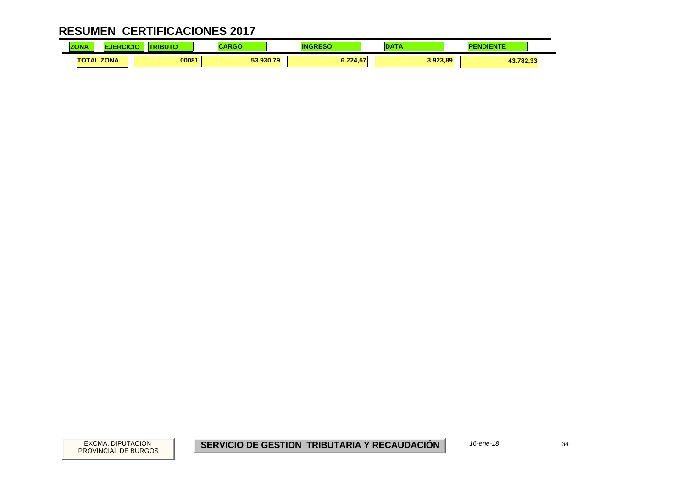| <b>ZONA</b> | ICK               | ---<br>50 | <b>DOM:</b><br>אט או | I١       |          | IENTE     |  |
|-------------|-------------------|-----------|----------------------|----------|----------|-----------|--|
|             | <b>TOTAL ZONA</b> | 00081     | 53.930.79            | 6.224.57 | 3.923.89 | 43.782,33 |  |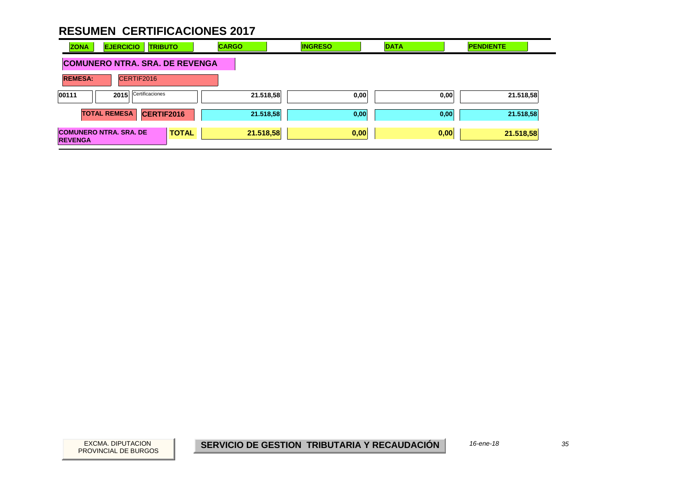| <b>EJERCICIO</b><br><b>ZONA</b><br><b>TRIBUTO</b>               | <b>CARGO</b> | <b>INGRESO</b> | <b>DATA</b> | <b>PENDIENTE</b> |
|-----------------------------------------------------------------|--------------|----------------|-------------|------------------|
| <b>COMUNERO NTRA. SRA. DE REVENGA</b>                           |              |                |             |                  |
| <b>REMESA:</b><br>CERTIF2016                                    |              |                |             |                  |
| Certificaciones<br>00111<br>2015                                | 21.518,58    | 0,00           | 0,00        | 21.518,58        |
| CERTIF2016<br><b>TOTAL REMESA</b>                               | 21.518,58    | 0,00           | 0,00        | 21.518,58        |
| <b>COMUNERO NTRA, SRA, DE</b><br><b>TOTAL</b><br><b>REVENGA</b> | 21.518,58    | 0,00           | 0,00        | 21.518,58        |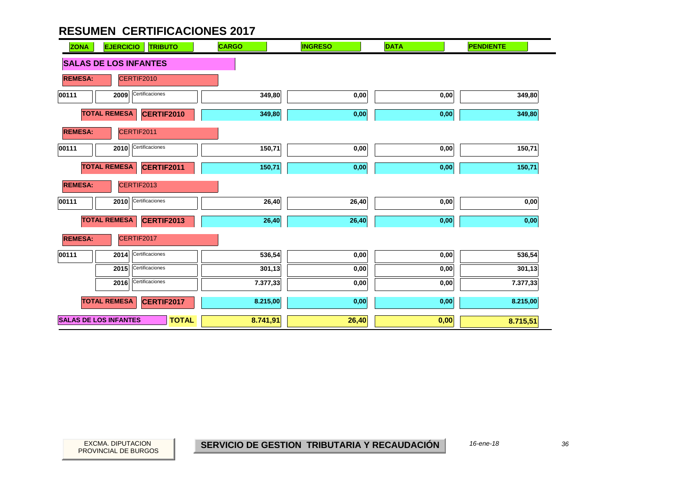| <b>ZONA</b>                  | <b>EJERCICIO</b><br><b>TRIBUTO</b> | <b>CARGO</b> | <b>INGRESO</b> | <b>DATA</b> | <b>PENDIENTE</b>  |
|------------------------------|------------------------------------|--------------|----------------|-------------|-------------------|
| <b>SALAS DE LOS INFANTES</b> |                                    |              |                |             |                   |
| <b>REMESA:</b>               | CERTIF2010                         |              |                |             |                   |
| 00111                        | Certificaciones<br>2009            | 349,80       | 0,00           | 0,00        | 349,80            |
| <b>TOTAL REMESA</b>          | <b>CERTIF2010</b>                  | 349,80       | 0,00           | 0,00        | 349,80            |
| <b>REMESA:</b>               | CERTIF2011                         |              |                |             |                   |
| 00111                        | Certificaciones<br>2010            | 150,71       | 0,00           | 0,00        | 150,71            |
| <b>TOTAL REMESA</b>          | CERTIF2011                         | 150,71       | 0,00           | 0,00        | 150,71            |
| <b>REMESA:</b>               | CERTIF2013                         |              |                |             |                   |
| 00111                        | Certificaciones<br>2010            | 26,40        | 26,40          | 0,00        | $\mathbf{0{,}00}$ |
| <b>TOTAL REMESA</b>          | <b>CERTIF2013</b>                  | 26,40        | 26,40          | 0,00        | 0,00              |
| <b>REMESA:</b>               | CERTIF2017                         |              |                |             |                   |
| 00111                        | Certificaciones<br>2014            | 536,54       | 0,00           | 0,00        | 536,54            |
|                              | Certificaciones<br>2015            | 301,13       | 0,00           | 0,00        | 301,13            |
|                              | Certificaciones<br>2016            | 7.377,33     | 0,00           | 0,00        | 7.377,33          |
| <b>TOTAL REMESA</b>          | CERTIF2017                         | 8.215,00     | 0,00           | 0,00        | 8.215,00          |
| <b>SALAS DE LOS INFANTES</b> | <b>TOTAL</b>                       | 8.741,91     | 26,40          | 0,00        | 8.715,51          |

36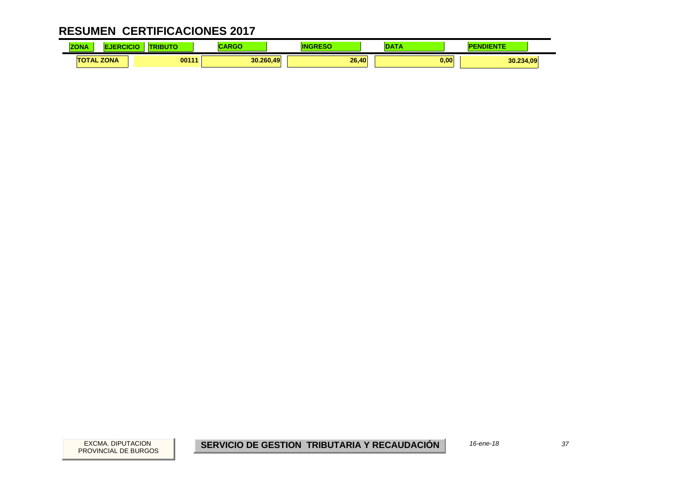| ZONA      |                  | 101177<br>wн | CADOC<br>राज |       |      | <b>NDIENTE</b> |
|-----------|------------------|--------------|--------------|-------|------|----------------|
| <b>TO</b> | <b>JTAL ZONA</b> | 00111        | 30.260.49    | 26.40 | 0,00 | 30.234,09      |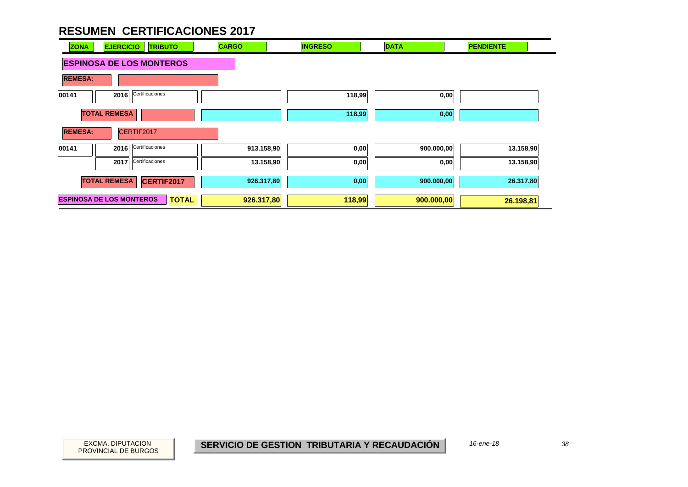| <b>ZONA</b>    | <b>EJERCICIO</b><br><b>TRIBUTO</b>              | <b>CARGO</b> | <b>INGRESO</b> | <b>DATA</b> | <b>PENDIENTE</b> |
|----------------|-------------------------------------------------|--------------|----------------|-------------|------------------|
|                | <b>ESPINOSA DE LOS MONTEROS</b>                 |              |                |             |                  |
| <b>REMESA:</b> |                                                 |              |                |             |                  |
| 00141          | Certificaciones<br>2016                         |              | 118,99         | 0,00        |                  |
|                | <b>TOTAL REMESA</b>                             |              | 118,99         | 0,00        |                  |
| <b>REMESA:</b> | CERTIF2017                                      |              |                |             |                  |
| 00141          | Certificaciones<br>2016                         | 913.158,90   | 0,00           | 900.000,00  | 13.158,90        |
|                | Certificaciones<br>2017                         | 13.158,90    | 0,00           | 0,00        | 13.158,90        |
|                | <b>TOTAL REMESA</b><br>CERTIF2017               | 926.317,80   | 0,00           | 900.000,00  | 26.317,80        |
|                | <b>ESPINOSA DE LOS MONTEROS</b><br><b>TOTAL</b> | 926.317,80   | 118,99         | 900.000,00  | 26.198,81        |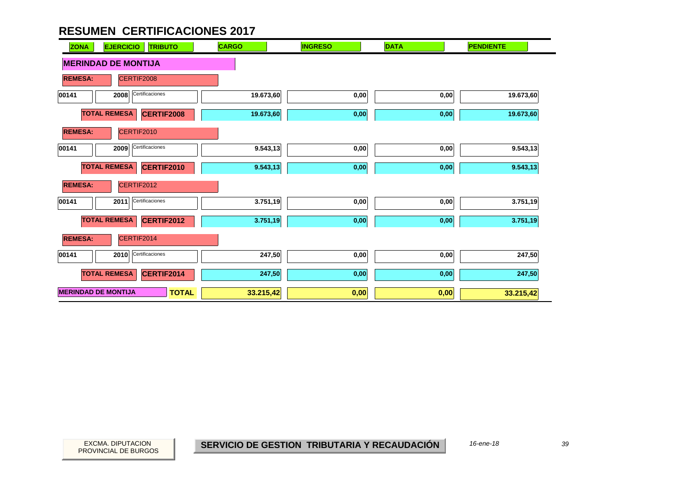| <b>ZONA</b>                | <b>EJERCICIO</b><br><b>TRIBUTO</b> | <b>CARGO</b> | <b>INGRESO</b> | <b>DATA</b>       | <b>PENDIENTE</b> |
|----------------------------|------------------------------------|--------------|----------------|-------------------|------------------|
| <b>MERINDAD DE MONTIJA</b> |                                    |              |                |                   |                  |
| <b>REMESA:</b>             | CERTIF2008                         |              |                |                   |                  |
| 00141                      | Certificaciones<br>2008            | 19.673,60    | 0,00           | 0,00              | 19.673,60        |
| <b>TOTAL REMESA</b>        | CERTIF2008                         | 19.673,60    | 0,00           | $0,\!00$          | 19.673,60        |
| <b>REMESA:</b>             | CERTIF2010                         |              |                |                   |                  |
| 00141                      | Certificaciones<br>2009            | 9.543,13     | 0,00           | 0,00              | 9.543,13         |
| <b>TOTAL REMESA</b>        | CERTIF2010                         | 9.543,13     | 0,00           | $\mathbf{0{,}00}$ | 9.543,13         |
| <b>REMESA:</b>             | CERTIF2012                         |              |                |                   |                  |
| 00141                      | Certificaciones<br>2011            | 3.751,19     | 0,00           | 0,00              | 3.751,19         |
| <b>TOTAL REMESA</b>        | CERTIF2012                         | 3.751,19     | 0,00           | 0,00              | 3.751,19         |
| <b>REMESA:</b>             | CERTIF2014                         |              |                |                   |                  |
| 00141                      | Certificaciones<br>2010            | 247,50       | 0,00           | 0,00              | 247,50           |
| <b>TOTAL REMESA</b>        | CERTIF2014                         | 247,50       | 0,00           | 0,00              | 247,50           |
| <b>MERINDAD DE MONTIJA</b> | <b>TOTAL</b>                       | 33.215,42    | 0,00           | 0,00              | 33.215,42        |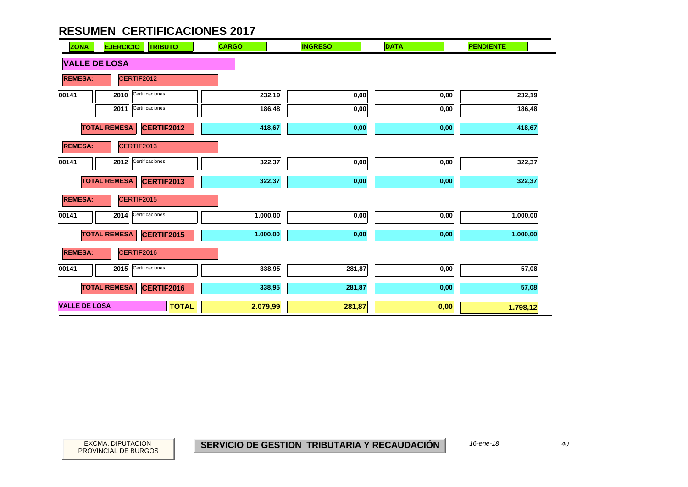| <b>ZONA</b>          | <b>EJERCICIO</b>        | <b>TRIBUTO</b>    | <b>CARGO</b> | <b>INGRESO</b> | <b>DATA</b> | <b>PENDIENTE</b> |
|----------------------|-------------------------|-------------------|--------------|----------------|-------------|------------------|
| <b>VALLE DE LOSA</b> |                         |                   |              |                |             |                  |
| <b>REMESA:</b>       | CERTIF2012              |                   |              |                |             |                  |
| 00141                | Certificaciones<br>2010 |                   | 232,19       | 0,00           | 0,00        | 232,19           |
|                      | Certificaciones<br>2011 |                   | 186,48       | 0,00           | 0,00        | 186,48           |
|                      | <b>TOTAL REMESA</b>     | CERTIF2012        | 418,67       | 0,00           | 0,00        | 418,67           |
| <b>REMESA:</b>       | CERTIF2013              |                   |              |                |             |                  |
| 00141                | Certificaciones<br>2012 |                   | 322,37       | 0,00           | 0,00        | 322,37           |
|                      | <b>TOTAL REMESA</b>     | CERTIF2013        | 322,37       | 0,00           | 0,00        | 322,37           |
| <b>REMESA:</b>       | CERTIF2015              |                   |              |                |             |                  |
| 00141                | Certificaciones<br>2014 |                   | 1.000,00     | 0,00           | 0,00        | 1.000,00         |
|                      | <b>TOTAL REMESA</b>     | <b>CERTIF2015</b> | 1.000,00     | 0,00           | 0,00        | 1.000,00         |
| <b>REMESA:</b>       | CERTIF2016              |                   |              |                |             |                  |
| 00141                | Certificaciones<br>2015 |                   | 338,95       | 281,87         | 0,00        | 57,08            |
|                      | <b>TOTAL REMESA</b>     | CERTIF2016        | 338,95       | 281,87         | 0,00        | 57,08            |
| <b>VALLE DE LOSA</b> |                         | <b>TOTAL</b>      | 2.079,99     | 281,87         | 0,00        | 1.798,12         |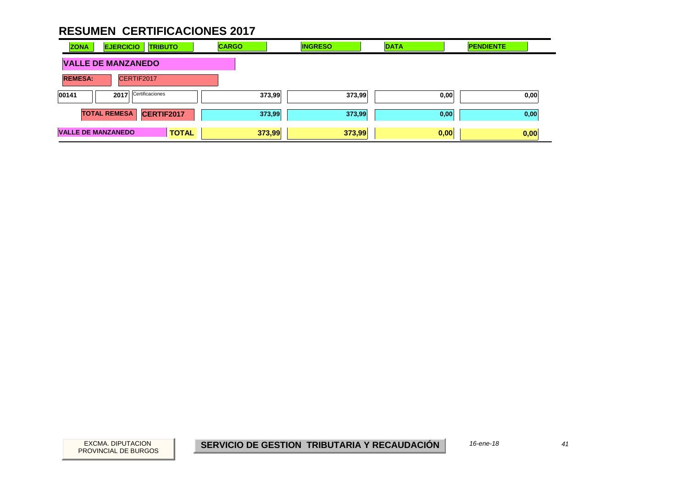| <b>ZONA</b>               | <b>EJERCICIO</b><br><b>TRIBUTO</b> | <b>CARGO</b> | <b>INGRESO</b> | <b>DATA</b> | <b>PENDIENTE</b> |
|---------------------------|------------------------------------|--------------|----------------|-------------|------------------|
|                           | <b>VALLE DE MANZANEDO</b>          |              |                |             |                  |
| <b>REMESA:</b>            | CERTIF2017                         |              |                |             |                  |
| 00141                     | Certificaciones<br>2017            | 373,99       | 373,99         | 0,00        | 0,00             |
|                           | <b>TOTAL REMESA</b><br>CERTIF2017  | 373,99       | 373,99         | 0,00        | 0,00             |
| <b>VALLE DE MANZANEDO</b> | <b>TOTAL</b>                       | 373,99       | 373,99         | 0,00        | 0,00             |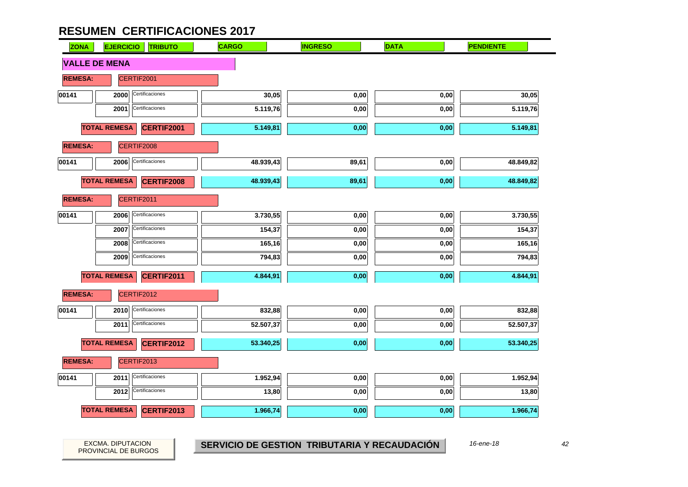| <b>ZONA</b>    | <b>EJERCICIO</b><br><b>TRIBUTO</b> | <b>CARGO</b> | <b>INGRESO</b> | <b>DATA</b> | <b>PENDIENTE</b> |
|----------------|------------------------------------|--------------|----------------|-------------|------------------|
|                | <b>VALLE DE MENA</b>               |              |                |             |                  |
| <b>REMESA:</b> | CERTIF2001                         |              |                |             |                  |
| 00141          | Certificaciones<br>2000            | 30,05        | 0,00           | 0,00        | 30,05            |
|                | Certificaciones<br>2001            | 5.119,76     | 0,00           | 0,00        | 5.119,76         |
|                | <b>TOTAL REMESA</b><br>CERTIF2001  | 5.149,81     | 0,00           | 0,00        | 5.149,81         |
| <b>REMESA:</b> | CERTIF2008                         |              |                |             |                  |
| 00141          | Certificaciones<br>2006            | 48.939,43    | 89,61          | 0,00        | 48.849,82        |
|                | <b>TOTAL REMESA</b><br>CERTIF2008  | 48.939,43    | 89,61          | 0,00        | 48.849,82        |
| <b>REMESA:</b> | CERTIF2011                         |              |                |             |                  |
| 00141          | Certificaciones<br>2006            | 3.730,55     | 0,00           | 0,00        | 3.730,55         |
|                | Certificaciones<br>2007            | 154,37       | 0,00           | 0,00        | 154,37           |
|                | Certificaciones<br>2008            | 165,16       | 0,00           | 0,00        | 165,16           |
|                | Certificaciones<br>2009            | 794,83       | 0,00           | 0,00        | 794,83           |
|                | <b>TOTAL REMESA</b><br>CERTIF2011  | 4.844,91     | 0,00           | 0,00        | 4.844,91         |
| <b>REMESA:</b> | CERTIF2012                         |              |                |             |                  |
| 00141          | 2010<br>Certificaciones            | 832,88       | 0,00           | 0,00        | 832,88           |
|                | Certificaciones<br>2011            | 52.507,37    | 0,00           | 0,00        | 52.507,37        |
|                | <b>TOTAL REMESA</b><br>CERTIF2012  | 53.340,25    | 0,00           | 0,00        | 53.340,25        |
| <b>REMESA:</b> | CERTIF2013                         |              |                |             |                  |
| 00141          | Certificaciones<br>2011            | 1.952,94     | 0,00           | 0,00        | 1.952,94         |
|                | Certificaciones<br>2012            | 13,80        | 0,00           | 0,00        | 13,80            |
|                | <b>TOTAL REMESA</b><br>CERTIF2013  | 1.966,74     | 0,00           | 0,00        | 1.966,74         |

PROVINCIAL DE BURGOS

EXCMA. DIPUTACION *42* **SERVICIO DE GESTION TRIBUTARIA Y RECAUDACIÓN** *16-ene-18*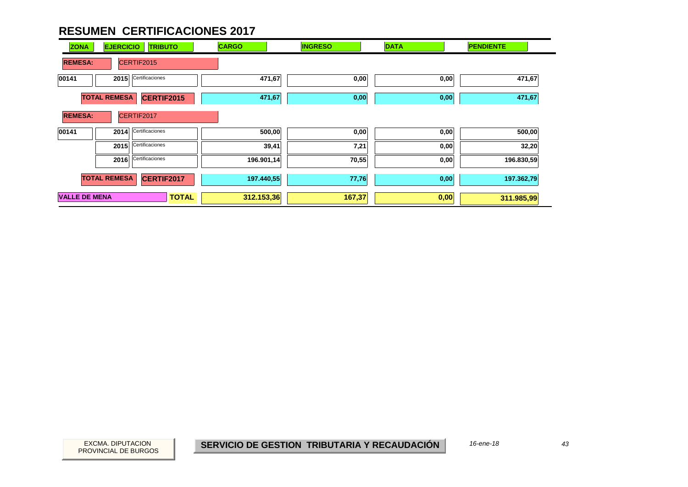| <b>EJERCICIO</b><br><b>ZONA</b><br><b>TRIBUTO</b> | <b>CARGO</b> | <b>INGRESO</b> | <b>DATA</b> | <b>PENDIENTE</b> |
|---------------------------------------------------|--------------|----------------|-------------|------------------|
| CERTIF2015<br><b>REMESA:</b>                      |              |                |             |                  |
| Certificaciones<br>00141<br>2015                  | 471,67       | 0,00           | 0,00        | 471,67           |
| <b>TOTAL REMESA</b><br>CERTIF2015                 | 471,67       | 0,00           | 0,00        | 471,67           |
| CERTIF2017<br><b>REMESA:</b>                      |              |                |             |                  |
| Certificaciones<br>00141<br>2014                  | 500,00       | 0,00           | 0,00        | 500,00           |
| Certificaciones<br>2015                           | 39,41        | 7,21           | 0,00        | 32,20            |
| Certificaciones<br>2016                           | 196.901,14   | 70,55          | 0,00        | 196.830,59       |
| <b>TOTAL REMESA</b><br>CERTIF2017                 | 197.440,55   | 77,76          | 0,00        | 197.362,79       |
| <b>VALLE DE MENA</b><br><b>TOTAL</b>              | 312.153,36   | 167,37         | 0,00        | 311.985,99       |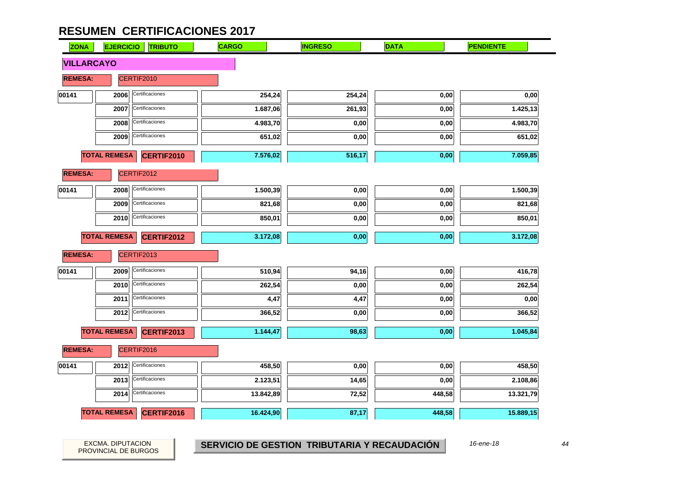| <b>ZONA</b>       | <b>EJERCICIO</b>    | <b>TRIBUTO</b>  | <b>CARGO</b> | <b>INGRESO</b> | <b>DATA</b> | <b>PENDIENTE</b> |
|-------------------|---------------------|-----------------|--------------|----------------|-------------|------------------|
| <b>VILLARCAYO</b> |                     |                 |              |                |             |                  |
| <b>REMESA:</b>    |                     | CERTIF2010      |              |                |             |                  |
| 00141             | 2006                | Certificaciones | 254,24       | 254,24         | 0,00        | 0,00             |
|                   | 2007                | Certificaciones | 1.687,06     | 261,93         | 0,00        | 1.425,13         |
|                   | 2008                | Certificaciones | 4.983,70     | 0,00           | 0,00        | 4.983,70         |
|                   | 2009                | Certificaciones | 651,02       | 0,00           | 0,00        | 651,02           |
|                   | <b>TOTAL REMESA</b> | CERTIF2010      | 7.576,02     | 516,17         | 0,00        | 7.059,85         |
| <b>REMESA:</b>    |                     | CERTIF2012      |              |                |             |                  |
| 00141             | 2008                | Certificaciones | 1.500,39     | 0,00           | 0,00        | 1.500,39         |
|                   | 2009                | Certificaciones | 821,68       | 0,00           | 0,00        | 821,68           |
|                   | 2010                | Certificaciones | 850,01       | 0,00           | 0,00        | 850,01           |
|                   | <b>TOTAL REMESA</b> | CERTIF2012      | 3.172,08     | 0,00           | 0,00        | 3.172,08         |
| <b>REMESA:</b>    |                     | CERTIF2013      |              |                |             |                  |
| 00141             | 2009                | Certificaciones | 510,94       | 94,16          | 0,00        | 416,78           |
|                   | 2010                | Certificaciones | 262,54       | 0,00           | 0,00        | 262,54           |
|                   | 2011                | Certificaciones | 4,47         | 4,47           | 0,00        | 0,00             |
|                   | 2012                | Certificaciones | 366,52       | 0,00           | 0,00        | 366,52           |
|                   | <b>TOTAL REMESA</b> | CERTIF2013      | 1.144,47     | 98,63          | 0,00        | 1.045,84         |
| <b>REMESA:</b>    |                     | CERTIF2016      |              |                |             |                  |
| 00141             | 2012                | Certificaciones | 458,50       | 0,00           | 0,00        | 458,50           |
|                   | 2013                | Certificaciones | 2.123,51     | 14,65          | 0,00        | 2.108,86         |
|                   | 2014                | Certificaciones | 13.842,89    | 72,52          | 448,58      | 13.321,79        |
|                   | <b>TOTAL REMESA</b> | CERTIF2016      | 16.424,90    | 87,17          | 448,58      | 15.889,15        |

PROVINCIAL DE BURGOS

EXCMA. DIPUTACION *44* **SERVICIO DE GESTION TRIBUTARIA Y RECAUDACIÓN** *16-ene-18*

44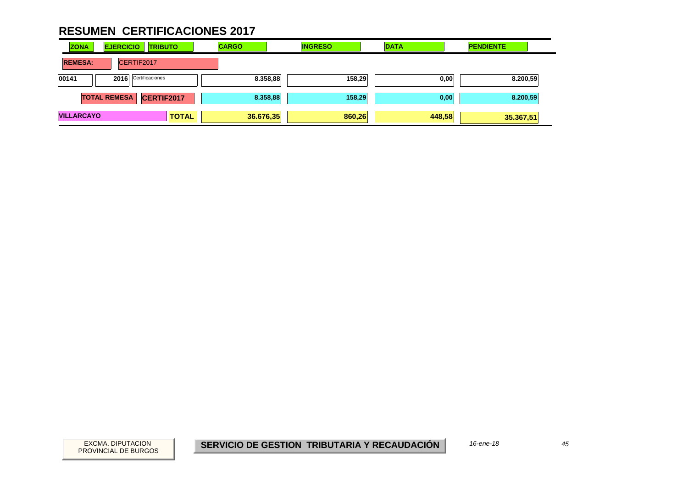| <b>ZONA</b><br><b>EJERCICIO</b> | <b>TRIBUTO</b> | <b>CARGO</b> | <b>INGRESO</b> | <b>DATA</b> | <b>PENDIENTE</b> |
|---------------------------------|----------------|--------------|----------------|-------------|------------------|
| <b>REMESA:</b><br>CERTIF2017    |                |              |                |             |                  |
| 2016 Certificaciones<br>00141   |                | 8.358,88     | 158,29         | 0,00        | 8.200,59         |
| <b>TOTAL REMESA</b>             | CERTIF2017     | 8.358,88     | 158,29         | 0,00        | 8.200,59         |
| <b>VILLARCAYO</b>               | <b>TOTAL</b>   | 36.676,35    | 860,26         | 448,58      | 35.367,51        |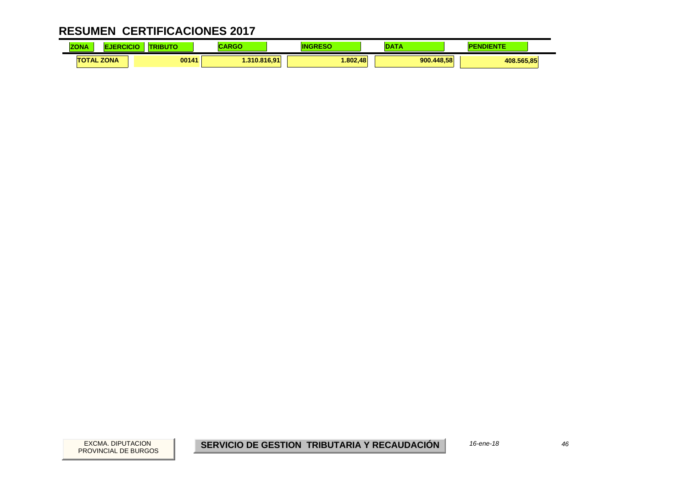| <b>ZONA</b>       | NCK. | BUTO  | .<br>אט א    | ΙN      |            | <b>NDIENTE</b> |  |
|-------------------|------|-------|--------------|---------|------------|----------------|--|
| <b>TOTAL ZONA</b> |      | 00141 | 1.310.816.91 | .802.48 | 900.448.58 | 408.565,85     |  |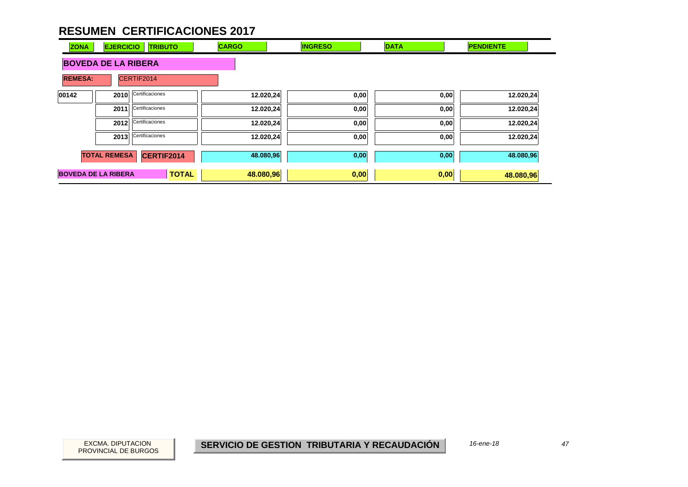| <b>ZONA</b>                | <b>EJERCICIO</b>    | <b>TRIBUTO</b>  | <b>CARGO</b> | <b>INGRESO</b> | <b>DATA</b> | <b>PENDIENTE</b> |
|----------------------------|---------------------|-----------------|--------------|----------------|-------------|------------------|
| <b>BOVEDA DE LA RIBERA</b> |                     |                 |              |                |             |                  |
| <b>REMESA:</b>             |                     | CERTIF2014      |              |                |             |                  |
| 00142                      | 2010                | Certificaciones | 12.020,24    | 0,00           | 0,00        | 12.020,24        |
|                            | 2011                | Certificaciones | 12.020,24    | 0,00           | 0,00        | 12.020,24        |
|                            | 2012                | Certificaciones | 12.020,24    | 0,00           | 0,00        | 12.020,24        |
|                            | 2013                | Certificaciones | 12.020,24    | 0,00           | 0,00        | 12.020,24        |
|                            | <b>TOTAL REMESA</b> | CERTIF2014      | 48.080,96    | 0,00           | 0,00        | 48.080,96        |
| <b>BOVEDA DE LA RIBERA</b> |                     | <b>TOTAL</b>    | 48.080,96    | 0,00           | 0,00        | 48.080,96        |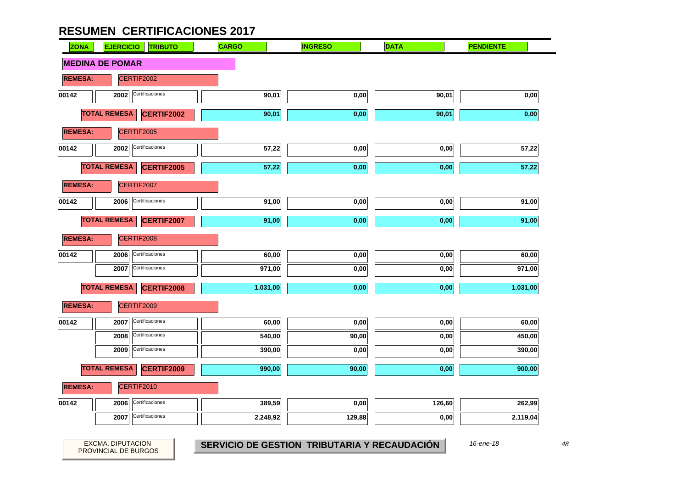| <b>ZONA</b>    | <b>EJERCICIO</b><br><b>TRIBUTO</b>       | <b>CARGO</b> | <b>INGRESO</b> | <b>DATA</b> | <b>PENDIENTE</b> |
|----------------|------------------------------------------|--------------|----------------|-------------|------------------|
|                | <b>MEDINA DE POMAR</b>                   |              |                |             |                  |
| <b>REMESA:</b> | CERTIF2002                               |              |                |             |                  |
| 00142          | Certificaciones<br>2002                  | 90,01        | 0,00           | 90,01       | 0,00             |
|                | <b>TOTAL REMESA</b><br><b>CERTIF2002</b> | 90,01        | 0,00           | 90,01       | 0,00             |
| <b>REMESA:</b> | CERTIF2005                               |              |                |             |                  |
| 00142          | Certificaciones<br>2002                  | 57,22        | 0,00           | 0,00        | 57,22            |
|                | <b>TOTAL REMESA</b><br>CERTIF2005        | 57,22        | 0,00           | 0,00        | 57,22            |
| <b>REMESA:</b> | CERTIF2007                               |              |                |             |                  |
| 00142          | Certificaciones<br>2006                  | 91,00        | 0,00           | 0,00        | 91,00            |
|                | <b>TOTAL REMESA</b><br><b>CERTIF2007</b> | 91,00        | 0,00           | 0,00        | 91,00            |
| <b>REMESA:</b> | CERTIF2008                               |              |                |             |                  |
| 00142          | Certificaciones<br>2006                  | 60,00        | 0,00           | 0,00        | 60,00            |
|                | Certificaciones<br>2007                  | 971,00       | 0,00           | 0,00        | 971,00           |
|                | <b>TOTAL REMESA</b><br>CERTIF2008        | 1.031,00     | 0,00           | 0,00        | 1.031,00         |
| <b>REMESA:</b> | CERTIF2009                               |              |                |             |                  |
| 00142          | Certificaciones<br>2007                  | 60,00        | 0,00           | 0,00        | 60,00            |
|                | Certificaciones<br>2008                  | 540,00       | 90,00          | 0,00        | 450,00           |
|                | Certificaciones<br>2009                  | 390,00       | 0,00           | 0,00        | 390,00           |
|                | <b>TOTAL REMESA</b><br>CERTIF2009        | 990,00       | 90,00          | 0,00        | 900,00           |
| <b>REMESA:</b> | CERTIF2010                               |              |                |             |                  |
| 00142          | Certificaciones<br>2006                  | 389,59       | 0,00           | 126,60      | 262,99           |
|                | Certificaciones<br>2007                  | 2.248,92     | 129,88         | 0,00        | 2.119,04         |

PROVINCIAL DE BURGOS

EXCMA. DIPUTACION *48* **SERVICIO DE GESTION TRIBUTARIA Y RECAUDACIÓN** *16-ene-18*

 $\overline{\phantom{0}}$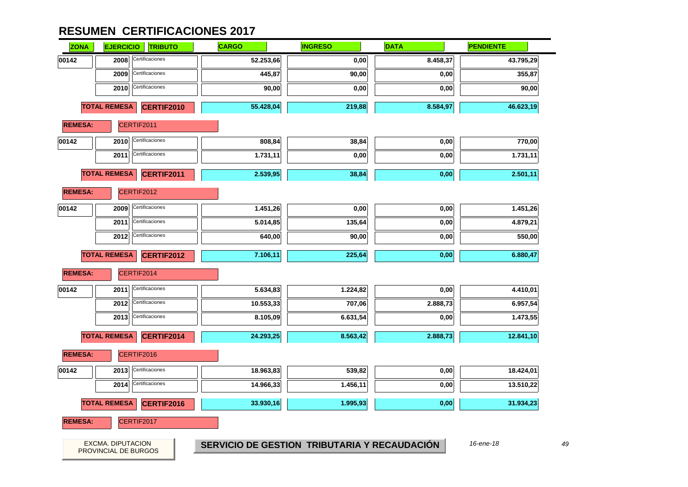| <b>ZONA</b>    | <b>EJERCICIO</b>     | <b>TRIBUTO</b>    | <b>CARGO</b> | <b>INGRESO</b>                               | <b>DATA</b> | <b>PENDIENTE</b> |
|----------------|----------------------|-------------------|--------------|----------------------------------------------|-------------|------------------|
| 00142          | 2008                 | Certificaciones   | 52.253,66    | 0,00                                         | 8.458,37    | 43.795,29        |
|                | 2009                 | Certificaciones   | 445,87       | 90,00                                        | 0,00        | 355,87           |
|                | 2010                 | Certificaciones   | 90,00        | 0,00                                         | 0,00        | 90,00            |
|                | <b>TOTAL REMESA</b>  | <b>CERTIF2010</b> | 55.428,04    | 219,88                                       | 8.584,97    | 46.623,19        |
| <b>REMESA:</b> |                      | CERTIF2011        |              |                                              |             |                  |
| 00142          | 2010                 | Certificaciones   | 808,84       | 38,84                                        | 0,00        | 770,00           |
|                | 2011                 | Certificaciones   | 1.731,11     | 0,00                                         | 0,00        | 1.731,11         |
|                | <b>TOTAL REMESA</b>  | CERTIF2011        | 2.539,95     | 38,84                                        | 0,00        | 2.501,11         |
| <b>REMESA:</b> |                      | CERTIF2012        |              |                                              |             |                  |
| 00142          | 2009                 | Certificaciones   | 1.451,26     | 0,00                                         | 0,00        | 1.451,26         |
|                | 2011                 | Certificaciones   | 5.014,85     | 135,64                                       | 0,00        | 4.879,21         |
|                | 2012                 | Certificaciones   | 640,00       | 90,00                                        | 0,00        | 550,00           |
|                | <b>TOTAL REMESA</b>  | CERTIF2012        | 7.106,11     | 225,64                                       | 0,00        | 6.880,47         |
| <b>REMESA:</b> |                      | CERTIF2014        |              |                                              |             |                  |
| 00142          | 2011                 | Certificaciones   | 5.634,83     | 1.224,82                                     | 0,00        | 4.410,01         |
|                | 2012                 | Certificaciones   | 10.553,33    | 707,06                                       | 2.888,73    | 6.957,54         |
|                | 2013                 | Certificaciones   | 8.105,09     | 6.631,54                                     | 0,00        | 1.473,55         |
|                | <b>TOTAL REMESA</b>  | CERTIF2014        | 24.293,25    | 8.563,42                                     | 2.888,73    | 12.841,10        |
| <b>REMESA:</b> |                      | CERTIF2016        |              |                                              |             |                  |
| 00142          | 2013                 | Certificaciones   | 18.963,83    | 539,82                                       | 0,00        | 18.424,01        |
|                | 2014                 | Certificaciones   | 14.966,33    | 1.456,11                                     | 0,00        | 13.510,22        |
|                | <b>TOTAL REMESA</b>  | CERTIF2016        | 33.930,16    | 1.995,93                                     | 0,00        | 31.934,23        |
| <b>REMESA:</b> |                      | CERTIF2017        |              |                                              |             |                  |
|                | EXCMA. DIPUTACION    |                   |              | SERVICIO DE GESTION TRIBUTARIA Y RECAUDACIÓN |             | 16-ene-18        |
|                | PROVINCIAL DE BURGOS |                   |              |                                              |             |                  |

49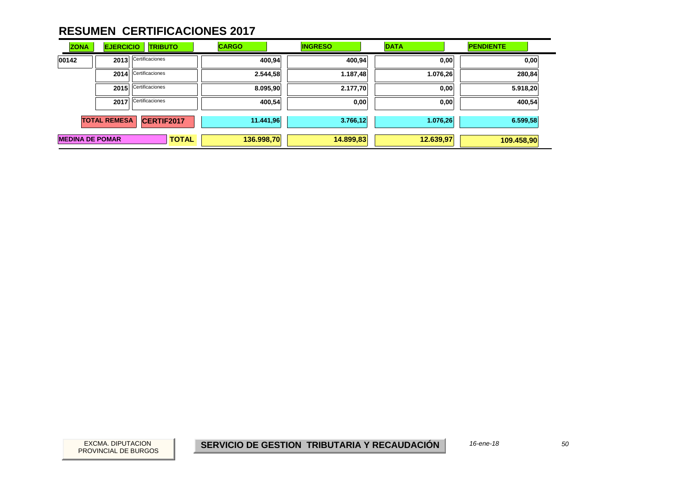| <b>ZONA</b>                              | <b>EJERCICIO</b> | <b>TRIBUTO</b>  | <b>CARGO</b> | <b>INGRESO</b> | <b>DATA</b> | <b>PENDIENTE</b> |
|------------------------------------------|------------------|-----------------|--------------|----------------|-------------|------------------|
| 00142                                    | 2013             | Certificaciones | 400,94       | 400,94         | 0,00        | 0,00             |
|                                          | 2014             | Certificaciones | 2.544,58     | 1.187,48       | 1.076,26    | 280,84           |
|                                          | 2015             | Certificaciones | 8.095,90     | 2.177,70       | 0,00        | 5.918,20         |
|                                          | 2017             | Certificaciones | 400,54       | 0,00           | 0,00        | 400,54           |
| <b>TOTAL REMESA</b><br><b>CERTIF2017</b> |                  | 11.441,96       | 3.766,12     | 1.076,26       | 6.599,58    |                  |
| <b>MEDINA DE POMAR</b><br><b>TOTAL</b>   |                  |                 | 136.998,70   | 14.899,83      | 12.639,97   | 109.458,90       |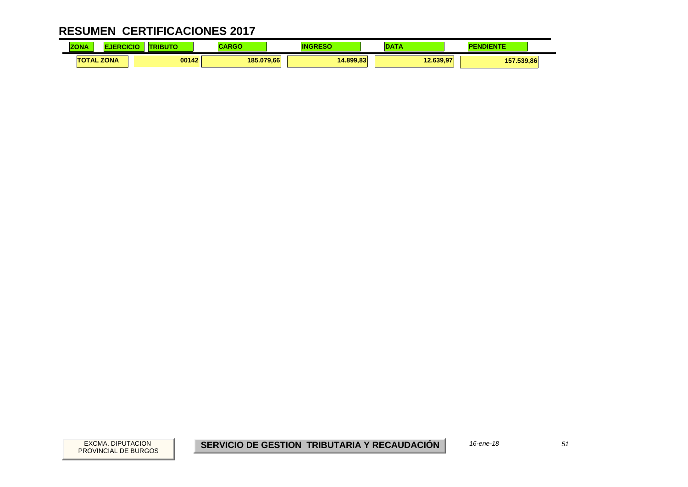| <b>ZONA</b> | NCK.              | ---<br>50 | <b>BAC</b><br>אט או | ΙN        |           | IENTE      |  |
|-------------|-------------------|-----------|---------------------|-----------|-----------|------------|--|
|             | <b>TOTAL ZONA</b> | 00142     | 185.079.66          | 14.899.83 | 12.639.97 | 157.539,86 |  |